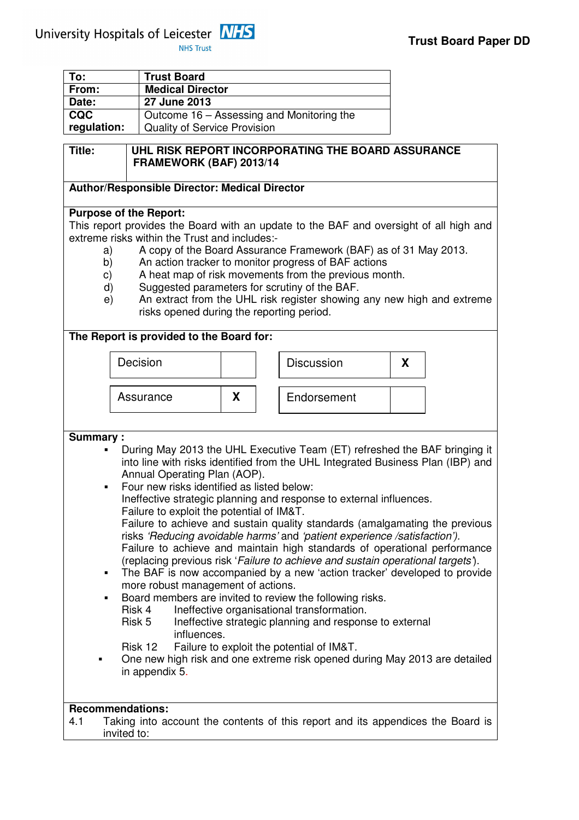University Hospitals of Leicester MHS

**NHS Trust** 

| To:         | <b>Trust Board</b>                        |
|-------------|-------------------------------------------|
| From:       | <b>Medical Director</b>                   |
| Date:       | 27 June 2013                              |
| <b>CQC</b>  | Outcome 16 – Assessing and Monitoring the |
| regulation: | <b>Quality of Service Provision</b>       |
|             |                                           |

# **Title: UHL RISK REPORT INCORPORATING THE BOARD ASSURANCE FRAMEWORK (BAF) 2013/14**

#### **Author/Responsible Director: Medical Director**

#### **Purpose of the Report:**

This report provides the Board with an update to the BAF and oversight of all high and extreme risks within the Trust and includes:-

- a) A copy of the Board Assurance Framework (BAF) as of 31 May 2013.
- b) An action tracker to monitor progress of BAF actions
- c) A heat map of risk movements from the previous month.
- d) Suggested parameters for scrutiny of the BAF.
- e) An extract from the UHL risk register showing any new high and extreme risks opened during the reporting period.

#### **The Report is provided to the Board for:**



**Summary :** 

- During May 2013 the UHL Executive Team (ET) refreshed the BAF bringing it into line with risks identified from the UHL Integrated Business Plan (IBP) and Annual Operating Plan (AOP).
- **Four new risks identified as listed below:** Ineffective strategic planning and response to external influences. Failure to exploit the potential of IM&T. Failure to achieve and sustain quality standards (amalgamating the previous risks 'Reducing avoidable harms' and 'patient experience /satisfaction').
	- Failure to achieve and maintain high standards of operational performance (replacing previous risk 'Failure to achieve and sustain operational targets').
- The BAF is now accompanied by a new 'action tracker' developed to provide more robust management of actions.
- Board members are invited to review the following risks.
- Risk 4 Ineffective organisational transformation.
	- Risk 5 Ineffective strategic planning and response to external influences.
	- Risk 12 Failure to exploit the potential of IM&T.
- One new high risk and one extreme risk opened during May 2013 are detailed in appendix 5.

# **Recommendations:**

4.1 Taking into account the contents of this report and its appendices the Board is invited to: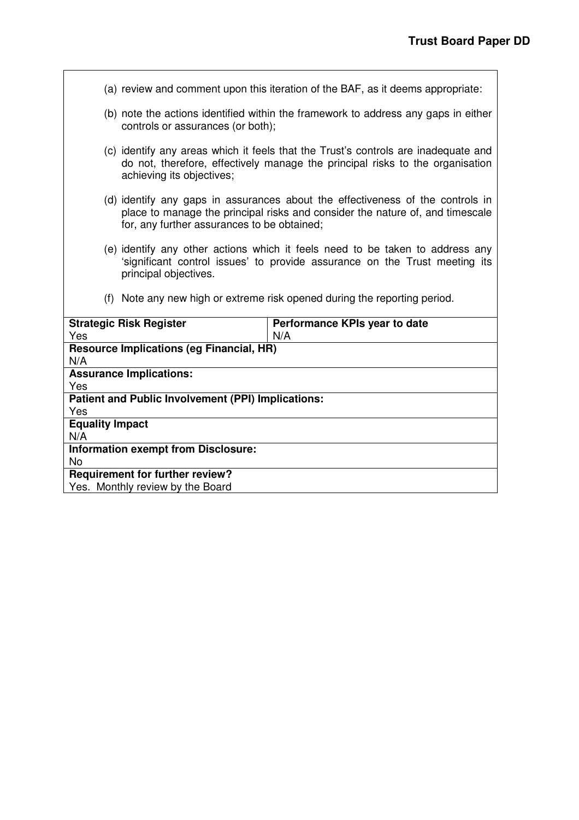(a) review and comment upon this iteration of the BAF, as it deems appropriate:

- (b) note the actions identified within the framework to address any gaps in either controls or assurances (or both);
- (c) identify any areas which it feels that the Trust's controls are inadequate and do not, therefore, effectively manage the principal risks to the organisation achieving its objectives;
- (d) identify any gaps in assurances about the effectiveness of the controls in place to manage the principal risks and consider the nature of, and timescale for, any further assurances to be obtained;
- (e) identify any other actions which it feels need to be taken to address any 'significant control issues' to provide assurance on the Trust meeting its principal objectives.
- (f) Note any new high or extreme risk opened during the reporting period.

| <b>Strategic Risk Register</b>                     | Performance KPIs year to date |
|----------------------------------------------------|-------------------------------|
| Yes                                                | N/A                           |
| <b>Resource Implications (eg Financial, HR)</b>    |                               |
| N/A                                                |                               |
| <b>Assurance Implications:</b>                     |                               |
| Yes                                                |                               |
| Patient and Public Involvement (PPI) Implications: |                               |
| Yes                                                |                               |
| <b>Equality Impact</b>                             |                               |
| N/A                                                |                               |
| <b>Information exempt from Disclosure:</b>         |                               |
| No                                                 |                               |
| <b>Requirement for further review?</b>             |                               |
| Yes. Monthly review by the Board                   |                               |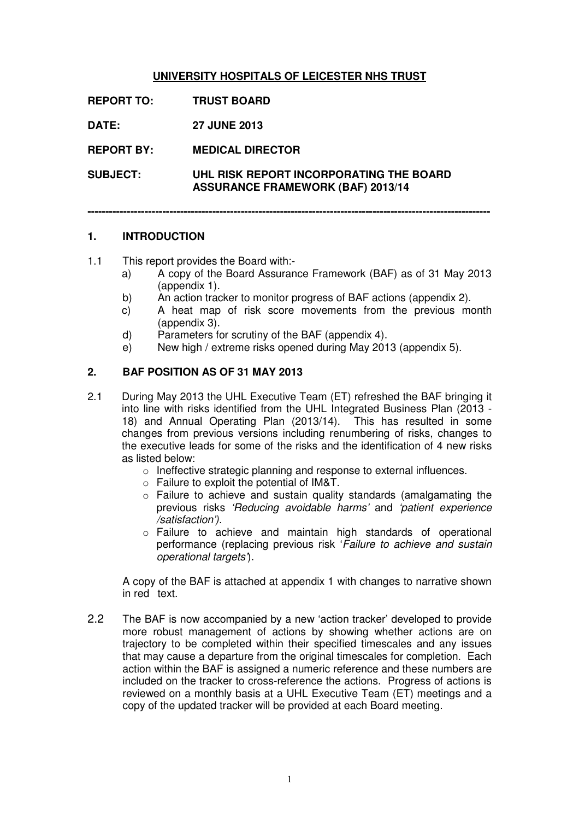#### **UNIVERSITY HOSPITALS OF LEICESTER NHS TRUST**

**REPORT TO: TRUST BOARD DATE: 27 JUNE 2013 REPORT BY: MEDICAL DIRECTOR SUBJECT: UHL RISK REPORT INCORPORATING THE BOARD ASSURANCE FRAMEWORK (BAF) 2013/14** 

**-----------------------------------------------------------------------------------------------------------------** 

#### **1. INTRODUCTION**

1.1 This report provides the Board with:-

- a) A copy of the Board Assurance Framework (BAF) as of 31 May 2013 (appendix 1).
- b) An action tracker to monitor progress of BAF actions (appendix 2).
- c) A heat map of risk score movements from the previous month (appendix 3).
- d) Parameters for scrutiny of the BAF (appendix 4).
- e) New high / extreme risks opened during May 2013 (appendix 5).

#### **2. BAF POSITION AS OF 31 MAY 2013**

- 2.1 During May 2013 the UHL Executive Team (ET) refreshed the BAF bringing it into line with risks identified from the UHL Integrated Business Plan (2013 - 18) and Annual Operating Plan (2013/14). This has resulted in some changes from previous versions including renumbering of risks, changes to the executive leads for some of the risks and the identification of 4 new risks as listed below:
	- o Ineffective strategic planning and response to external influences.
	- o Failure to exploit the potential of IM&T.
	- o Failure to achieve and sustain quality standards (amalgamating the previous risks 'Reducing avoidable harms' and 'patient experience /satisfaction').
	- o Failure to achieve and maintain high standards of operational performance (replacing previous risk 'Failure to achieve and sustain operational targets').

 A copy of the BAF is attached at appendix 1 with changes to narrative shown in red text.

2.2 The BAF is now accompanied by a new 'action tracker' developed to provide more robust management of actions by showing whether actions are on trajectory to be completed within their specified timescales and any issues that may cause a departure from the original timescales for completion. Each action within the BAF is assigned a numeric reference and these numbers are included on the tracker to cross-reference the actions. Progress of actions is reviewed on a monthly basis at a UHL Executive Team (ET) meetings and a copy of the updated tracker will be provided at each Board meeting.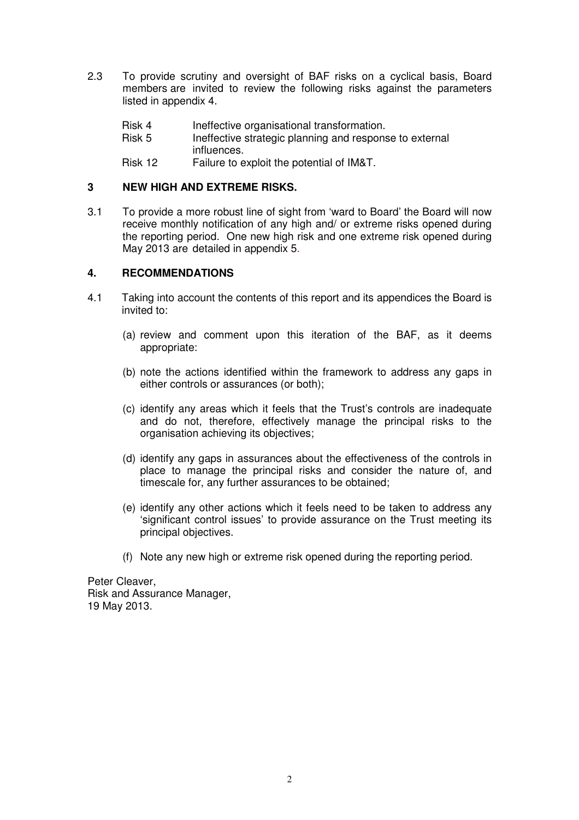- 2.3 To provide scrutiny and oversight of BAF risks on a cyclical basis, Board members are invited to review the following risks against the parameters listed in appendix 4.
	- Risk 4 Ineffective organisational transformation.
	- Risk 5 Ineffective strategic planning and response to external influences.
	- Risk 12 Failure to exploit the potential of IM&T.

#### **3 NEW HIGH AND EXTREME RISKS.**

3.1 To provide a more robust line of sight from 'ward to Board' the Board will now receive monthly notification of any high and/ or extreme risks opened during the reporting period. One new high risk and one extreme risk opened during May 2013 are detailed in appendix 5.

#### **4. RECOMMENDATIONS**

- 4.1 Taking into account the contents of this report and its appendices the Board is invited to:
	- (a) review and comment upon this iteration of the BAF, as it deems appropriate:
	- (b) note the actions identified within the framework to address any gaps in either controls or assurances (or both);
	- (c) identify any areas which it feels that the Trust's controls are inadequate and do not, therefore, effectively manage the principal risks to the organisation achieving its objectives;
	- (d) identify any gaps in assurances about the effectiveness of the controls in place to manage the principal risks and consider the nature of, and timescale for, any further assurances to be obtained;
	- (e) identify any other actions which it feels need to be taken to address any 'significant control issues' to provide assurance on the Trust meeting its principal objectives.
	- (f) Note any new high or extreme risk opened during the reporting period.

Peter Cleaver, Risk and Assurance Manager, 19 May 2013.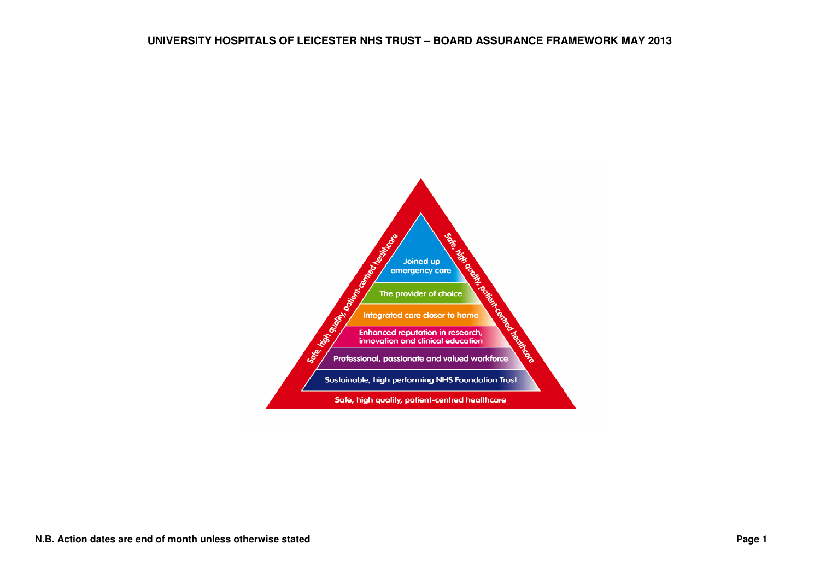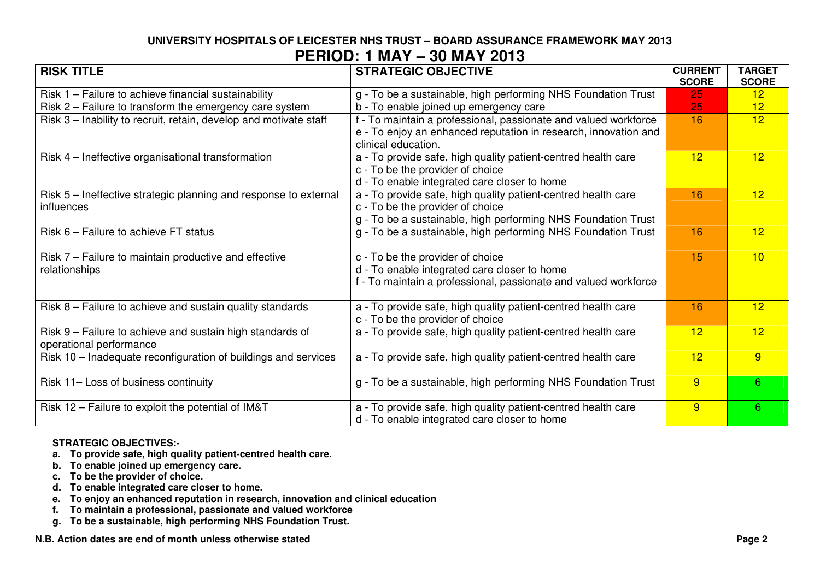# **UNIVERSITY HOSPITALS OF LEICESTER NHS TRUST – BOARD ASSURANCE FRAMEWORK MAY 2013 PERIOD: 1 MAY – 30 MAY 2013**

| <b>RISK TITLE</b>                                                 | <b>STRATEGIC OBJECTIVE</b>                                      | <b>CURRENT</b><br><b>SCORE</b> | <b>TARGET</b><br><b>SCORE</b> |
|-------------------------------------------------------------------|-----------------------------------------------------------------|--------------------------------|-------------------------------|
| Risk 1 - Failure to achieve financial sustainability              | g - To be a sustainable, high performing NHS Foundation Trust   | 25                             | 12                            |
| Risk 2 – Failure to transform the emergency care system           | b - To enable joined up emergency care                          | 25                             | 12                            |
| Risk 3 – Inability to recruit, retain, develop and motivate staff | f - To maintain a professional, passionate and valued workforce | 16                             | 12 <sup>2</sup>               |
|                                                                   | e - To enjoy an enhanced reputation in research, innovation and |                                |                               |
|                                                                   | clinical education.                                             |                                |                               |
| Risk 4 – Ineffective organisational transformation                | a - To provide safe, high quality patient-centred health care   | 12                             | 12 <sup>2</sup>               |
|                                                                   | c - To be the provider of choice                                |                                |                               |
|                                                                   | d - To enable integrated care closer to home                    |                                |                               |
| Risk 5 – Ineffective strategic planning and response to external  | a - To provide safe, high quality patient-centred health care   | 16                             | 12 <sup>2</sup>               |
| influences                                                        | c - To be the provider of choice                                |                                |                               |
|                                                                   | g - To be a sustainable, high performing NHS Foundation Trust   |                                |                               |
| Risk 6 – Failure to achieve FT status                             | g - To be a sustainable, high performing NHS Foundation Trust   | 16                             | 12                            |
|                                                                   |                                                                 |                                |                               |
| Risk 7 – Failure to maintain productive and effective             | c - To be the provider of choice                                | 15                             | 10                            |
| relationships                                                     | d - To enable integrated care closer to home                    |                                |                               |
|                                                                   | f - To maintain a professional, passionate and valued workforce |                                |                               |
|                                                                   |                                                                 |                                |                               |
| Risk 8 – Failure to achieve and sustain quality standards         | a - To provide safe, high quality patient-centred health care   | 16                             | 12                            |
|                                                                   | c - To be the provider of choice                                |                                |                               |
| Risk 9 - Failure to achieve and sustain high standards of         | a - To provide safe, high quality patient-centred health care   | 12                             | 12 <sup>2</sup>               |
| operational performance                                           |                                                                 |                                |                               |
| Risk 10 - Inadequate reconfiguration of buildings and services    | a - To provide safe, high quality patient-centred health care   | 12                             | 9                             |
|                                                                   |                                                                 |                                |                               |
| Risk 11- Loss of business continuity                              | g - To be a sustainable, high performing NHS Foundation Trust   | 9                              | $6^{\circ}$                   |
|                                                                   |                                                                 |                                |                               |
| Risk 12 - Failure to exploit the potential of IM&T                | a - To provide safe, high quality patient-centred health care   | 9                              | 6                             |
|                                                                   | d - To enable integrated care closer to home                    |                                |                               |

#### **STRATEGIC OBJECTIVES:-**

- **a. To provide safe, high quality patient-centred health care.**
- **b. To enable joined up emergency care. c. To be the provider of choice.**
- 
- **d. To enable integrated care closer to home.**
- **e. To enjoy an enhanced reputation in research, innovation and clinical education**
- 
- **f. To maintain a professional, passionate and valued workforce g. To be a sustainable, high performing NHS Foundation Trust.**

**N.B. Action dates are end of month unless otherwise stated Page 2 <b>Page 2 Page 2 Page 2**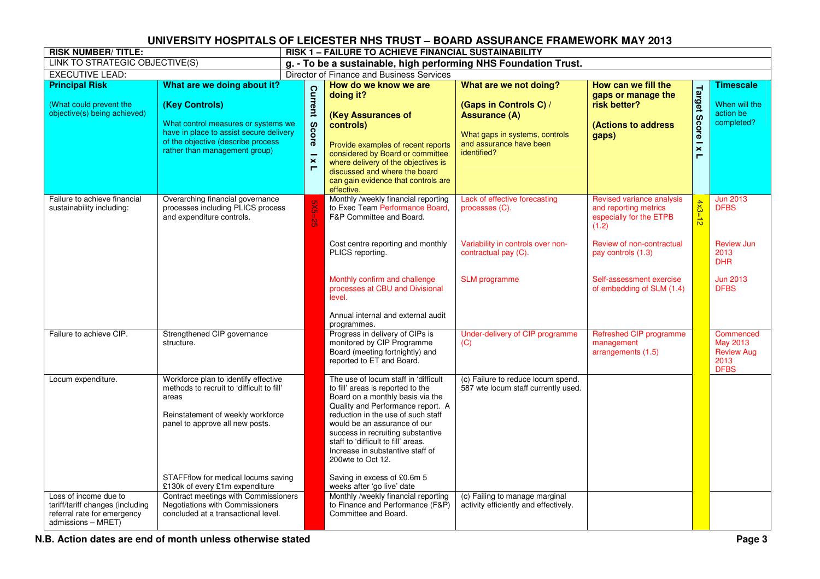| <b>RISK NUMBER/TITLE:</b>                                                                                      |                                                                                                                                                                                                                                             |                                                                      | <b>RISK 1 - FAILURE TO ACHIEVE FINANCIAL SUSTAINABILITY</b>                                                                                                                                                                                                                                                                                                                                                                 |                                                                                                                                                      |                                                                                                                                           |                              |                                                                           |  |  |
|----------------------------------------------------------------------------------------------------------------|---------------------------------------------------------------------------------------------------------------------------------------------------------------------------------------------------------------------------------------------|----------------------------------------------------------------------|-----------------------------------------------------------------------------------------------------------------------------------------------------------------------------------------------------------------------------------------------------------------------------------------------------------------------------------------------------------------------------------------------------------------------------|------------------------------------------------------------------------------------------------------------------------------------------------------|-------------------------------------------------------------------------------------------------------------------------------------------|------------------------------|---------------------------------------------------------------------------|--|--|
| LINK TO STRATEGIC OBJECTIVE(S)                                                                                 |                                                                                                                                                                                                                                             | g. - To be a sustainable, high performing NHS Foundation Trust.      |                                                                                                                                                                                                                                                                                                                                                                                                                             |                                                                                                                                                      |                                                                                                                                           |                              |                                                                           |  |  |
| <b>EXECUTIVE LEAD:</b>                                                                                         |                                                                                                                                                                                                                                             |                                                                      | Director of Finance and Business Services                                                                                                                                                                                                                                                                                                                                                                                   |                                                                                                                                                      |                                                                                                                                           |                              |                                                                           |  |  |
| <b>Principal Risk</b><br>(What could prevent the<br>objective(s) being achieved)                               | What are we doing about it?<br>(Key Controls)<br>What control measures or systems we<br>have in place to assist secure delivery<br>of the objective (describe process<br>rather than management group)                                      | Current<br><b>Score</b><br>$\overline{\mathbf{x}}$<br>$\blacksquare$ | How do we know we are<br>doing it?<br>(Key Assurances of<br>controls)<br>Provide examples of recent reports<br>considered by Board or committee<br>where delivery of the objectives is<br>discussed and where the board<br>can gain evidence that controls are<br>effective.                                                                                                                                                | What are we not doing?<br>(Gaps in Controls C) /<br><b>Assurance (A)</b><br>What gaps in systems, controls<br>and assurance have been<br>identified? | How can we fill the<br>gaps or manage the<br>risk better?<br>(Actions to address<br>gaps)                                                 | <b>Target Score I x</b><br>Н | <b>Timescale</b><br>When will the<br>action be<br>completed?              |  |  |
| Failure to achieve financial<br>sustainability including:                                                      | Overarching financial governance<br>processes including PLICS process<br>and expenditure controls.                                                                                                                                          |                                                                      | Monthly /weekly financial reporting<br>to Exec Team Performance Board,<br>F&P Committee and Board.<br>Cost centre reporting and monthly<br>PLICS reporting.                                                                                                                                                                                                                                                                 | Lack of effective forecasting<br>processes (C).<br>Variability in controls over non-<br>contractual pay (C).                                         | Revised variance analysis<br>and reporting metrics<br>especially for the ETPB<br>(1.2)<br>Review of non-contractual<br>pay controls (1.3) | $4x3=12$                     | <b>Jun 2013</b><br><b>DFBS</b><br><b>Review Jun</b><br>2013<br><b>DHR</b> |  |  |
|                                                                                                                |                                                                                                                                                                                                                                             |                                                                      | Monthly confirm and challenge<br>processes at CBU and Divisional<br>level.<br>Annual internal and external audit<br>programmes.                                                                                                                                                                                                                                                                                             | <b>SLM</b> programme                                                                                                                                 | Self-assessment exercise<br>of embedding of SLM (1.4)                                                                                     |                              | <b>Jun 2013</b><br><b>DFBS</b>                                            |  |  |
| Failure to achieve CIP.                                                                                        | Strengthened CIP governance<br>structure.                                                                                                                                                                                                   |                                                                      | Progress in delivery of CIPs is<br>monitored by CIP Programme<br>Board (meeting fortnightly) and<br>reported to ET and Board.                                                                                                                                                                                                                                                                                               | Under-delivery of CIP programme<br>(C)                                                                                                               | Refreshed CIP programme<br>management<br>arrangements (1.5)                                                                               |                              | Commenced<br>May 2013<br><b>Review Aug</b><br>2013<br><b>DFBS</b>         |  |  |
| Locum expenditure.                                                                                             | Workforce plan to identify effective<br>methods to recruit to 'difficult to fill'<br>areas<br>Reinstatement of weekly workforce<br>panel to approve all new posts.<br>STAFFflow for medical locums saving<br>£130k of every £1m expenditure |                                                                      | The use of locum staff in 'difficult<br>to fill' areas is reported to the<br>Board on a monthly basis via the<br>Quality and Performance report. A<br>reduction in the use of such staff<br>would be an assurance of our<br>success in recruiting substantive<br>staff to 'difficult to fill' areas.<br>Increase in substantive staff of<br>200 wte to Oct 12.<br>Saving in excess of £0.6m 5<br>weeks after 'go live' date | (c) Failure to reduce locum spend.<br>587 wte locum staff currently used.                                                                            |                                                                                                                                           |                              |                                                                           |  |  |
| Loss of income due to<br>tariff/tariff changes (including<br>referral rate for emergency<br>admissions - MRET) | Contract meetings with Commissioners<br>Negotiations with Commissioners<br>concluded at a transactional level.                                                                                                                              |                                                                      | Monthly /weekly financial reporting<br>to Finance and Performance (F&P)<br>Committee and Board.                                                                                                                                                                                                                                                                                                                             | (c) Failing to manage marginal<br>activity efficiently and effectively.                                                                              |                                                                                                                                           |                              |                                                                           |  |  |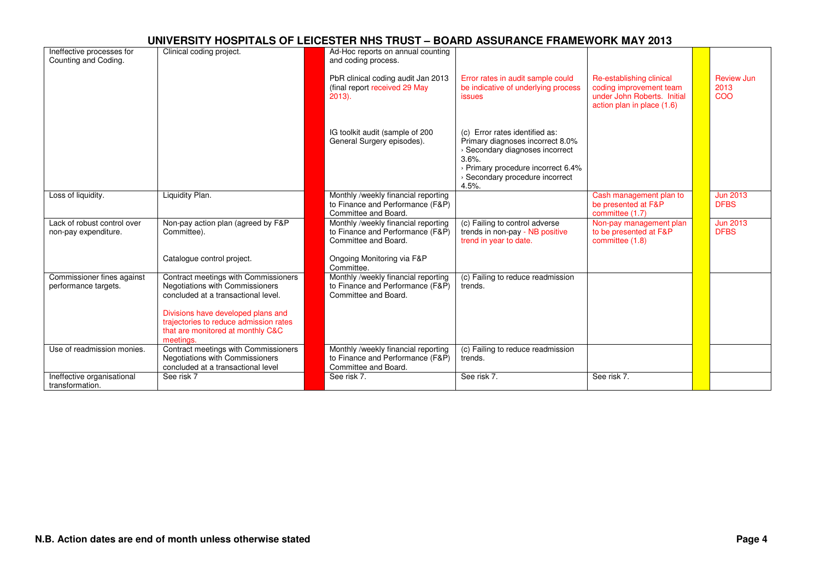| Ineffective processes for<br>Counting and Coding.   | Clinical coding project.                                                                                                                             | Ad-Hoc reports on annual counting<br>and coding process.                                        |                                                                                                                                                                                                    |                                                                                                                  |                                |
|-----------------------------------------------------|------------------------------------------------------------------------------------------------------------------------------------------------------|-------------------------------------------------------------------------------------------------|----------------------------------------------------------------------------------------------------------------------------------------------------------------------------------------------------|------------------------------------------------------------------------------------------------------------------|--------------------------------|
|                                                     |                                                                                                                                                      | PbR clinical coding audit Jan 2013<br>(final report received 29 May<br>$2013$ ).                | Error rates in audit sample could<br>be indicative of underlying process<br><i>issues</i>                                                                                                          | Re-establishing clinical<br>coding improvement team<br>under John Roberts. Initial<br>action plan in place (1.6) | Review Jun<br>2013<br>COO      |
|                                                     |                                                                                                                                                      | IG toolkit audit (sample of 200<br>General Surgery episodes).                                   | Error rates identified as:<br>(c)<br>Primary diagnoses incorrect 8.0%<br>> Secondary diagnoses incorrect<br>3.6%<br>> Primary procedure incorrect 6.4%<br>> Secondary procedure incorrect<br>4.5%. |                                                                                                                  |                                |
| Loss of liquidity.                                  | Liquidity Plan.                                                                                                                                      | Monthly /weekly financial reporting<br>to Finance and Performance (F&P)<br>Committee and Board. |                                                                                                                                                                                                    | Cash management plan to<br>be presented at F&P<br>committee (1.7)                                                | <b>Jun 2013</b><br><b>DFBS</b> |
| Lack of robust control over<br>non-pay expenditure. | Non-pay action plan (agreed by F&P<br>Committee).                                                                                                    | Monthly /weekly financial reporting<br>to Finance and Performance (F&P)<br>Committee and Board. | (c) Failing to control adverse<br>trends in non-pay - NB positive<br>trend in year to date.                                                                                                        | Non-pay management plan<br>to be presented at F&P<br>committee (1.8)                                             | <b>Jun 2013</b><br><b>DFBS</b> |
|                                                     | Catalogue control project.                                                                                                                           | Ongoing Monitoring via F&P<br>Committee.                                                        |                                                                                                                                                                                                    |                                                                                                                  |                                |
| Commissioner fines against<br>performance targets.  | Contract meetings with Commissioners<br>Negotiations with Commissioners<br>concluded at a transactional level.<br>Divisions have developed plans and | Monthly /weekly financial reporting<br>to Finance and Performance (F&P)<br>Committee and Board. | (c) Failing to reduce readmission<br>trends.                                                                                                                                                       |                                                                                                                  |                                |
|                                                     | trajectories to reduce admission rates<br>that are monitored at monthly C&C<br>meetings.                                                             |                                                                                                 |                                                                                                                                                                                                    |                                                                                                                  |                                |
| Use of readmission monies.                          | Contract meetings with Commissioners<br>Negotiations with Commissioners<br>concluded at a transactional level                                        | Monthly /weekly financial reporting<br>to Finance and Performance (F&P)<br>Committee and Board. | (c) Failing to reduce readmission<br>trends.                                                                                                                                                       |                                                                                                                  |                                |
| Ineffective organisational<br>transformation.       | See risk 7                                                                                                                                           | See risk 7.                                                                                     | See risk 7.                                                                                                                                                                                        | See risk 7.                                                                                                      |                                |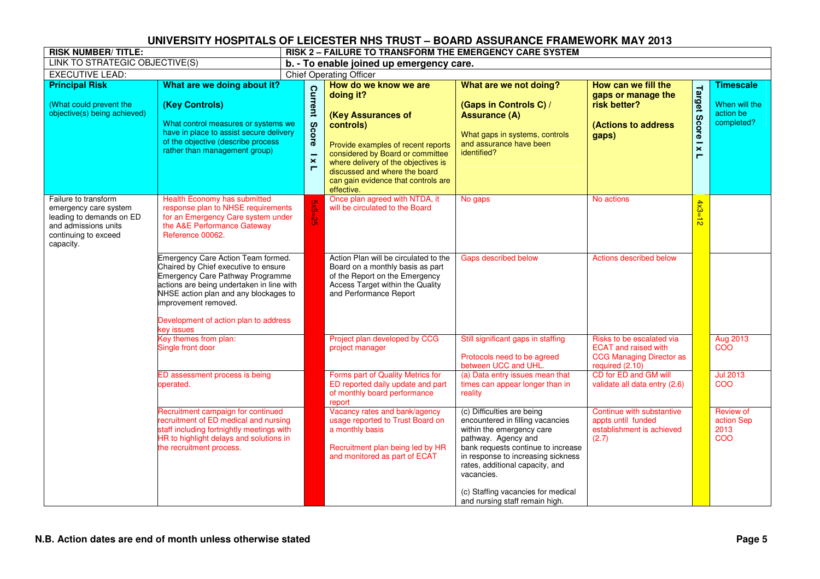| <b>RISK NUMBER/TITLE:</b>                                                                                                              |                                                                                                                                                                                                                                                                                            | RISK 2 - FAILURE TO TRANSFORM THE EMERGENCY CARE SYSTEM |                                                  |                                                                                                                                                                                                                                                                              |                                                                                                                                                                                                                                                                                                                         |                                                                                                                |                                                     |                                                              |  |
|----------------------------------------------------------------------------------------------------------------------------------------|--------------------------------------------------------------------------------------------------------------------------------------------------------------------------------------------------------------------------------------------------------------------------------------------|---------------------------------------------------------|--------------------------------------------------|------------------------------------------------------------------------------------------------------------------------------------------------------------------------------------------------------------------------------------------------------------------------------|-------------------------------------------------------------------------------------------------------------------------------------------------------------------------------------------------------------------------------------------------------------------------------------------------------------------------|----------------------------------------------------------------------------------------------------------------|-----------------------------------------------------|--------------------------------------------------------------|--|
| LINK TO STRATEGIC OBJECTIVE(S)                                                                                                         |                                                                                                                                                                                                                                                                                            | b. - To enable joined up emergency care.                |                                                  |                                                                                                                                                                                                                                                                              |                                                                                                                                                                                                                                                                                                                         |                                                                                                                |                                                     |                                                              |  |
| <b>EXECUTIVE LEAD:</b>                                                                                                                 |                                                                                                                                                                                                                                                                                            |                                                         |                                                  | <b>Chief Operating Officer</b>                                                                                                                                                                                                                                               |                                                                                                                                                                                                                                                                                                                         |                                                                                                                |                                                     |                                                              |  |
| <b>Principal Risk</b><br>(What could prevent the<br>objective(s) being achieved)                                                       | What are we doing about it?<br>(Key Controls)<br>What control measures or systems we<br>have in place to assist secure delivery<br>of the objective (describe process<br>rather than management group)                                                                                     |                                                         | Current<br>Score<br>$\overline{\mathbf{x}}$<br>п | How do we know we are<br>doing it?<br>(Key Assurances of<br>controls)<br>Provide examples of recent reports<br>considered by Board or committee<br>where delivery of the objectives is<br>discussed and where the board<br>can gain evidence that controls are<br>effective. | What are we not doing?<br>(Gaps in Controls C) /<br><b>Assurance (A)</b><br>What gaps in systems, controls<br>and assurance have been<br>identified?                                                                                                                                                                    | How can we fill the<br>gaps or manage the<br>risk better?<br>(Actions to address<br>gaps)                      | <b>Target Score</b><br>$\overline{\mathbf{x}}$<br>Е | <b>Timescale</b><br>When will the<br>action be<br>completed? |  |
| Failure to transform<br>emergency care system<br>leading to demands on ED<br>and admissions units<br>continuing to exceed<br>capacity. | Health Economy has submitted<br>response plan to NHSE requirements<br>for an Emergency Care system under<br>the A&E Performance Gateway<br>Reference 00062.                                                                                                                                |                                                         |                                                  | Once plan agreed with NTDA, it<br>will be circulated to the Board                                                                                                                                                                                                            | No gaps                                                                                                                                                                                                                                                                                                                 | No actions                                                                                                     | $4x3=$<br>$\vec{D}$                                 |                                                              |  |
|                                                                                                                                        | Emergency Care Action Team formed.<br>Chaired by Chief executive to ensure<br><b>Emergency Care Pathway Programme</b><br>actions are being undertaken in line with<br>NHSE action plan and any blockages to<br>improvement removed.<br>Development of action plan to address<br>key issues |                                                         |                                                  | Action Plan will be circulated to the<br>Board on a monthly basis as part<br>of the Report on the Emergency<br>Access Target within the Quality<br>and Performance Report                                                                                                    | Gaps described below                                                                                                                                                                                                                                                                                                    | <b>Actions described below</b>                                                                                 |                                                     |                                                              |  |
|                                                                                                                                        | Key themes from plan:<br>Single front door                                                                                                                                                                                                                                                 |                                                         |                                                  | Project plan developed by CCG<br>project manager                                                                                                                                                                                                                             | Still significant gaps in staffing<br>Protocols need to be agreed<br>between UCC and UHL.                                                                                                                                                                                                                               | Risks to be escalated via<br><b>ECAT and raised with</b><br><b>CCG Managing Director as</b><br>required (2.10) |                                                     | Aug 2013<br>COO                                              |  |
|                                                                                                                                        | ED assessment process is being<br>operated.                                                                                                                                                                                                                                                |                                                         |                                                  | Forms part of Quality Metrics for<br>ED reported daily update and part<br>of monthly board performance<br>report                                                                                                                                                             | (a) Data entry issues mean that<br>times can appear longer than in<br>reality                                                                                                                                                                                                                                           | CD for ED and GM will<br>validate all data entry (2.6)                                                         |                                                     | <b>Jul 2013</b><br>COO                                       |  |
|                                                                                                                                        | Recruitment campaign for continued<br>recruitment of ED medical and nursing<br>staff including fortnightly meetings with<br>HR to highlight delays and solutions in<br>the recruitment process.                                                                                            |                                                         |                                                  | Vacancy rates and bank/agency<br>usage reported to Trust Board on<br>a monthly basis<br>Recruitment plan being led by HR<br>and monitored as part of ECAT                                                                                                                    | (c) Difficulties are being<br>encountered in filling vacancies<br>within the emergency care<br>pathway. Agency and<br>bank requests continue to increase<br>in response to increasing sickness<br>rates, additional capacity, and<br>vacancies.<br>(c) Staffing vacancies for medical<br>and nursing staff remain high. | Continue with substantive<br>appts until funded<br>establishment is achieved<br>(2.7)                          |                                                     | Review of<br>action Sep<br>2013<br>COO                       |  |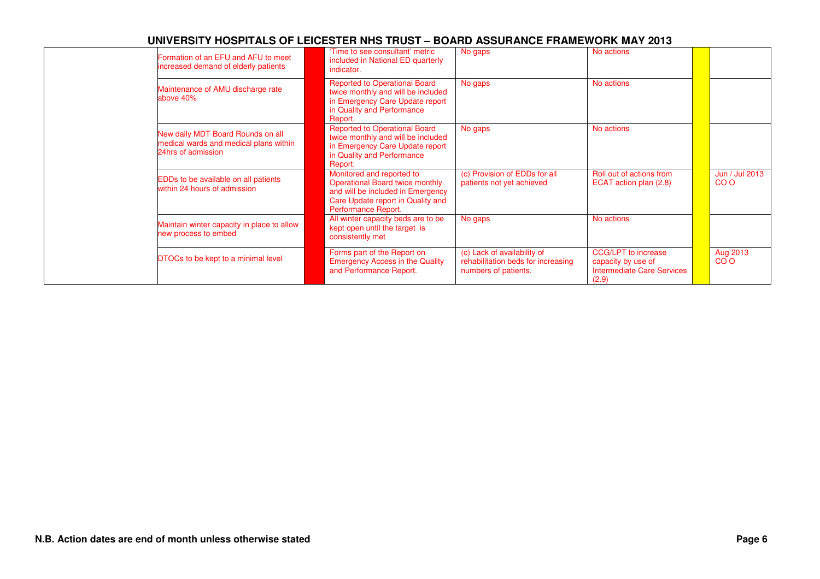| Formation of an EFU and AFU to meet<br>increased demand of elderly patients                       | 'Time to see consultant' metric<br>included in National ED quarterly<br>indicator.                                                                                   | No gaps                                                                                   | No actions                                                                       |                             |
|---------------------------------------------------------------------------------------------------|----------------------------------------------------------------------------------------------------------------------------------------------------------------------|-------------------------------------------------------------------------------------------|----------------------------------------------------------------------------------|-----------------------------|
| Maintenance of AMU discharge rate<br>above 40%                                                    | <b>Reported to Operational Board</b><br>twice monthly and will be included<br>in Emergency Care Update report<br>in Quality and Performance<br>Report.               | No gaps                                                                                   | No actions                                                                       |                             |
| New daily MDT Board Rounds on all<br>medical wards and medical plans within<br>24hrs of admission | <b>Reported to Operational Board</b><br>twice monthly and will be included<br>in Emergency Care Update report<br>in Quality and Performance<br>Report.               | No gaps                                                                                   | No actions                                                                       |                             |
| EDDs to be available on all patients<br>within 24 hours of admission                              | Monitored and reported to<br><b>Operational Board twice monthly</b><br>and will be included in Emergency<br>Care Update report in Quality and<br>Performance Report. | (c) Provision of EDDs for all<br>patients not yet achieved                                | Roll out of actions from<br>ECAT action plan (2.8)                               | Jun / Jul 2013<br>CO O      |
| Maintain winter capacity in place to allow<br>new process to embed                                | All winter capacity beds are to be<br>kept open until the target is<br>consistently met                                                                              | No gaps                                                                                   | No actions                                                                       |                             |
| DTOCs to be kept to a minimal level                                                               | Forms part of the Report on<br><b>Emergency Access in the Quality</b><br>and Performance Report.                                                                     | (c) Lack of availability of<br>rehabilitation beds for increasing<br>numbers of patients. | CCG/LPT to increase<br>capacity by use of<br>Intermediate Care Services<br>(2.9) | Aug 2013<br>CO <sub>O</sub> |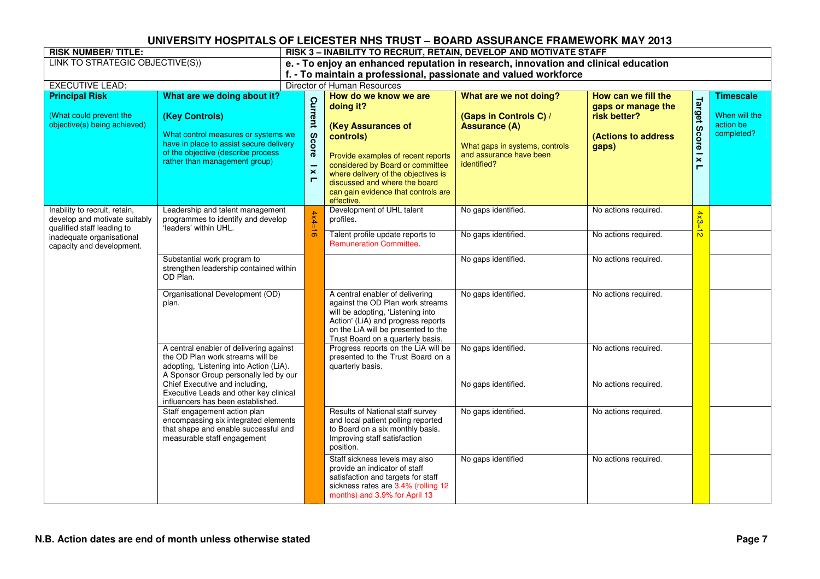| <b>RISK NUMBER/TITLE:</b>                                                                          |                                                                                                                                                                         | RISK 3 - INABILITY TO RECRUIT, RETAIN, DEVELOP AND MOTIVATE STAFF                   |                                                         |                                                                                                                                                                                                                                                     |                                                                                                                            |                                                                    |                                                     |                                          |  |  |
|----------------------------------------------------------------------------------------------------|-------------------------------------------------------------------------------------------------------------------------------------------------------------------------|-------------------------------------------------------------------------------------|---------------------------------------------------------|-----------------------------------------------------------------------------------------------------------------------------------------------------------------------------------------------------------------------------------------------------|----------------------------------------------------------------------------------------------------------------------------|--------------------------------------------------------------------|-----------------------------------------------------|------------------------------------------|--|--|
| LINK TO STRATEGIC OBJECTIVE(S))                                                                    |                                                                                                                                                                         | e. - To enjoy an enhanced reputation in research, innovation and clinical education |                                                         |                                                                                                                                                                                                                                                     |                                                                                                                            |                                                                    |                                                     |                                          |  |  |
|                                                                                                    |                                                                                                                                                                         | f. - To maintain a professional, passionate and valued workforce                    |                                                         |                                                                                                                                                                                                                                                     |                                                                                                                            |                                                                    |                                                     |                                          |  |  |
| <b>EXECUTIVE LEAD:</b>                                                                             |                                                                                                                                                                         |                                                                                     |                                                         | Director of Human Resources                                                                                                                                                                                                                         |                                                                                                                            |                                                                    |                                                     |                                          |  |  |
| <b>Principal Risk</b>                                                                              | What are we doing about it?                                                                                                                                             |                                                                                     |                                                         | How do we know we are                                                                                                                                                                                                                               | What are we not doing?                                                                                                     | How can we fill the                                                |                                                     | <b>Timescale</b>                         |  |  |
| (What could prevent the<br>objective(s) being achieved)                                            | (Key Controls)<br>What control measures or systems we<br>have in place to assist secure delivery<br>of the objective (describe process<br>rather than management group) |                                                                                     | <b>Current</b><br>Score<br>$\overline{\mathbf{x}}$<br>п | doing it?<br>(Key Assurances of<br>controls)<br>Provide examples of recent reports<br>considered by Board or committee<br>where delivery of the objectives is<br>discussed and where the board<br>can gain evidence that controls are<br>effective. | (Gaps in Controls C) /<br><b>Assurance (A)</b><br>What gaps in systems, controls<br>and assurance have been<br>identified? | gaps or manage the<br>risk better?<br>(Actions to address<br>gaps) | <b>Target Score</b><br>$\overline{\mathbf{x}}$<br>Е | When will the<br>action be<br>completed? |  |  |
| Inability to recruit, retain,<br>Leadership and talent management<br>develop and motivate suitably | programmes to identify and develop<br>'leaders' within UHL.                                                                                                             |                                                                                     | $4x4=16$                                                | Development of UHL talent<br>profiles.                                                                                                                                                                                                              | No gaps identified.                                                                                                        | No actions required.                                               | $4x3=$                                              |                                          |  |  |
| qualified staff leading to<br>inadequate organisational<br>capacity and development.               |                                                                                                                                                                         |                                                                                     |                                                         | Talent profile update reports to<br><b>Remuneration Committee.</b>                                                                                                                                                                                  | No gaps identified.                                                                                                        | No actions required.                                               | $\vec{p}$                                           |                                          |  |  |
|                                                                                                    | Substantial work program to<br>strengthen leadership contained within<br>OD Plan.                                                                                       |                                                                                     |                                                         |                                                                                                                                                                                                                                                     | No gaps identified.                                                                                                        | No actions required.                                               |                                                     |                                          |  |  |
|                                                                                                    | Organisational Development (OD)<br>plan.                                                                                                                                |                                                                                     |                                                         | A central enabler of delivering<br>against the OD Plan work streams<br>will be adopting, 'Listening into<br>Action' (LiA) and progress reports<br>on the LiA will be presented to the<br>Trust Board on a quarterly basis.                          | No gaps identified.                                                                                                        | No actions required.                                               |                                                     |                                          |  |  |
|                                                                                                    | A central enabler of delivering against<br>the OD Plan work streams will be<br>adopting, 'Listening into Action (LiA).<br>A Sponsor Group personally led by our         |                                                                                     |                                                         | Progress reports on the LiA will be<br>presented to the Trust Board on a<br>quarterly basis.                                                                                                                                                        | No gaps identified.                                                                                                        | No actions required.                                               |                                                     |                                          |  |  |
|                                                                                                    | Chief Executive and including,<br>Executive Leads and other key clinical<br>influencers has been established.                                                           |                                                                                     |                                                         |                                                                                                                                                                                                                                                     | No gaps identified.                                                                                                        | No actions required.                                               |                                                     |                                          |  |  |
|                                                                                                    | Staff engagement action plan<br>encompassing six integrated elements<br>that shape and enable successful and<br>measurable staff engagement                             |                                                                                     |                                                         | Results of National staff survey<br>and local patient polling reported<br>to Board on a six monthly basis.<br>Improving staff satisfaction<br>position.                                                                                             | No gaps identified.                                                                                                        | No actions required.                                               |                                                     |                                          |  |  |
|                                                                                                    |                                                                                                                                                                         |                                                                                     |                                                         | Staff sickness levels may also<br>provide an indicator of staff<br>satisfaction and targets for staff<br>sickness rates are 3.4% (rolling 12<br>months) and 3.9% for April 13                                                                       | No gaps identified                                                                                                         | No actions required.                                               |                                                     |                                          |  |  |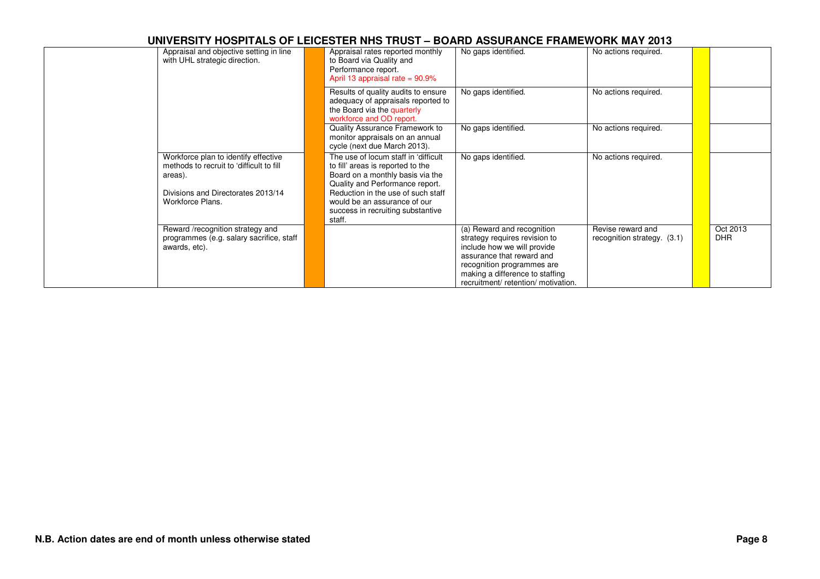| Appraisal and objective setting in line<br>with UHL strategic direction.                      | Appraisal rates reported monthly<br>to Board via Quality and<br>Performance report.<br>April 13 appraisal rate = $90.9\%$                        | No gaps identified.                                                                                                                                                                                                             | No actions required.                             |                        |
|-----------------------------------------------------------------------------------------------|--------------------------------------------------------------------------------------------------------------------------------------------------|---------------------------------------------------------------------------------------------------------------------------------------------------------------------------------------------------------------------------------|--------------------------------------------------|------------------------|
|                                                                                               | Results of quality audits to ensure<br>adequacy of appraisals reported to<br>the Board via the quarterly<br>workforce and OD report.             | No gaps identified.                                                                                                                                                                                                             | No actions required.                             |                        |
|                                                                                               | Quality Assurance Framework to<br>monitor appraisals on an annual<br>cycle (next due March 2013).                                                | No gaps identified.                                                                                                                                                                                                             | No actions required.                             |                        |
| Workforce plan to identify effective<br>methods to recruit to 'difficult to fill<br>areas).   | The use of locum staff in 'difficult<br>to fill' areas is reported to the<br>Board on a monthly basis via the<br>Quality and Performance report. | No gaps identified.                                                                                                                                                                                                             | No actions required.                             |                        |
| Divisions and Directorates 2013/14<br>Workforce Plans.                                        | Reduction in the use of such staff<br>would be an assurance of our<br>success in recruiting substantive<br>staff.                                |                                                                                                                                                                                                                                 |                                                  |                        |
| Reward /recognition strategy and<br>programmes (e.g. salary sacrifice, staff<br>awards, etc). |                                                                                                                                                  | (a) Reward and recognition<br>strategy requires revision to<br>include how we will provide<br>assurance that reward and<br>recognition programmes are<br>making a difference to staffing<br>recruitment/ retention/ motivation. | Revise reward and<br>recognition strategy. (3.1) | Oct 2013<br><b>DHR</b> |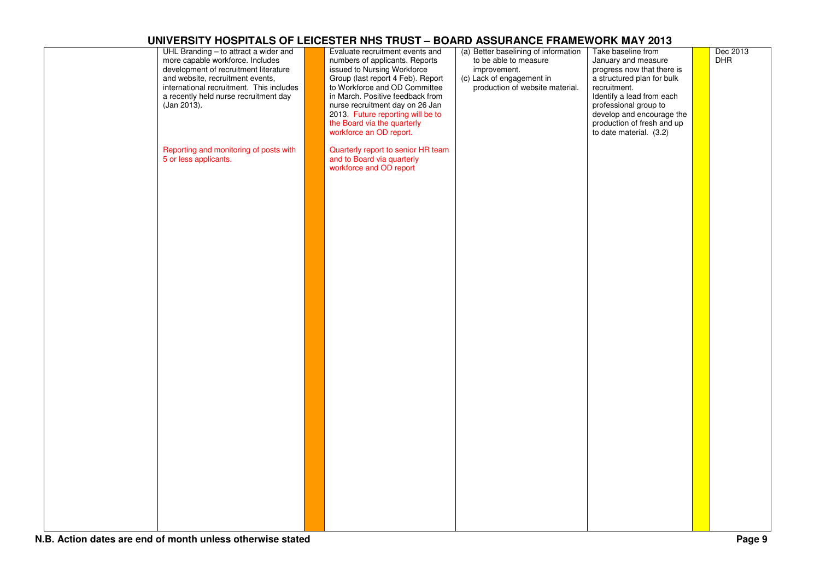| UHL Branding - to attract a wider and<br>more capable workforce. Includes<br>development of recruitment literature<br>and website, recruitment events,<br>international recruitment. This includes<br>a recently held nurse recruitment day<br>(Jan 2013). | Evaluate recruitment events and<br>numbers of applicants. Reports<br>issued to Nursing Workforce<br>Group (last report 4 Feb). Report<br>to Workforce and OD Committee<br>in March. Positive feedback from<br>nurse recruitment day on 26 Jan<br>2013. Future reporting will be to<br>the Board via the quarterly<br>workforce an OD report. | (a) Better baselining of information<br>to be able to measure<br>improvement.<br>(c) Lack of engagement in<br>production of website material. | Take baseline from<br>January and measure<br>progress now that there is<br>a structured plan for bulk<br>recruitment.<br>Identify a lead from each<br>professional group to<br>develop and encourage the<br>production of fresh and up<br>to date material. (3.2) | Dec 2013<br><b>DHR</b> |
|------------------------------------------------------------------------------------------------------------------------------------------------------------------------------------------------------------------------------------------------------------|----------------------------------------------------------------------------------------------------------------------------------------------------------------------------------------------------------------------------------------------------------------------------------------------------------------------------------------------|-----------------------------------------------------------------------------------------------------------------------------------------------|-------------------------------------------------------------------------------------------------------------------------------------------------------------------------------------------------------------------------------------------------------------------|------------------------|
| Reporting and monitoring of posts with<br>5 or less applicants.                                                                                                                                                                                            | Quarterly report to senior HR team<br>and to Board via quarterly<br>workforce and OD report                                                                                                                                                                                                                                                  |                                                                                                                                               |                                                                                                                                                                                                                                                                   |                        |
|                                                                                                                                                                                                                                                            |                                                                                                                                                                                                                                                                                                                                              |                                                                                                                                               |                                                                                                                                                                                                                                                                   |                        |
|                                                                                                                                                                                                                                                            |                                                                                                                                                                                                                                                                                                                                              |                                                                                                                                               |                                                                                                                                                                                                                                                                   |                        |
|                                                                                                                                                                                                                                                            |                                                                                                                                                                                                                                                                                                                                              |                                                                                                                                               |                                                                                                                                                                                                                                                                   |                        |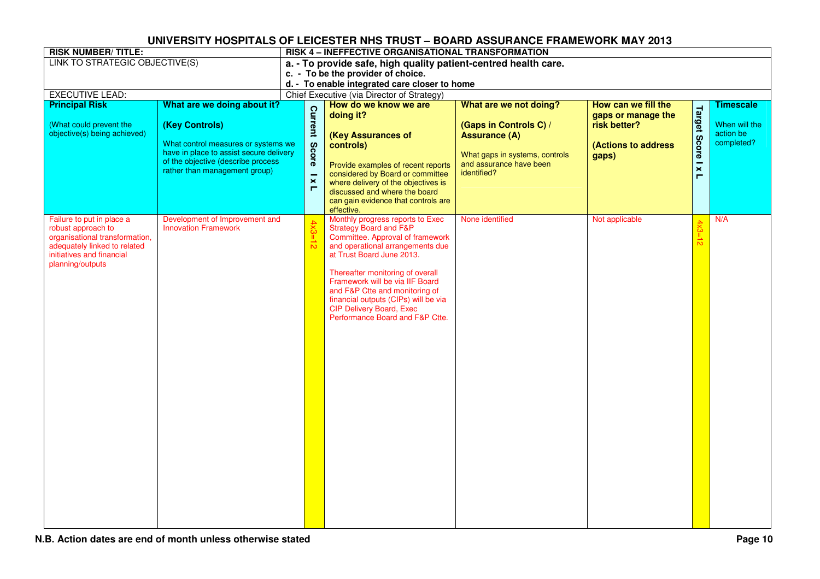| <b>RISK NUMBER/TITLE:</b>                                                                                                                                          |                                                                                                                                                                                                        | RISK 4 - INEFFECTIVE ORGANISATIONAL TRANSFORMATION              |                                                                                                                                                                                                                                                                                                                                                                                                   |                                                                                                                                                      |                                                                                           |                       |                                                              |  |  |  |
|--------------------------------------------------------------------------------------------------------------------------------------------------------------------|--------------------------------------------------------------------------------------------------------------------------------------------------------------------------------------------------------|-----------------------------------------------------------------|---------------------------------------------------------------------------------------------------------------------------------------------------------------------------------------------------------------------------------------------------------------------------------------------------------------------------------------------------------------------------------------------------|------------------------------------------------------------------------------------------------------------------------------------------------------|-------------------------------------------------------------------------------------------|-----------------------|--------------------------------------------------------------|--|--|--|
| LINK TO STRATEGIC OBJECTIVE(S)                                                                                                                                     |                                                                                                                                                                                                        | a. - To provide safe, high quality patient-centred health care. |                                                                                                                                                                                                                                                                                                                                                                                                   |                                                                                                                                                      |                                                                                           |                       |                                                              |  |  |  |
|                                                                                                                                                                    |                                                                                                                                                                                                        |                                                                 | c. - To be the provider of choice.                                                                                                                                                                                                                                                                                                                                                                |                                                                                                                                                      |                                                                                           |                       |                                                              |  |  |  |
|                                                                                                                                                                    |                                                                                                                                                                                                        |                                                                 | d. - To enable integrated care closer to home                                                                                                                                                                                                                                                                                                                                                     |                                                                                                                                                      |                                                                                           |                       |                                                              |  |  |  |
| <b>EXECUTIVE LEAD:</b>                                                                                                                                             |                                                                                                                                                                                                        |                                                                 | Chief Executive (via Director of Strategy)                                                                                                                                                                                                                                                                                                                                                        |                                                                                                                                                      |                                                                                           |                       |                                                              |  |  |  |
| <b>Principal Risk</b><br>(What could prevent the<br>objective(s) being achieved)                                                                                   | What are we doing about it?<br>(Key Controls)<br>What control measures or systems we<br>have in place to assist secure delivery<br>of the objective (describe process<br>rather than management group) | Current<br><b>Score</b><br>$\pmb{\times}$<br>Е                  | How do we know we are<br>doing it?<br>(Key Assurances of<br>controls)<br>Provide examples of recent reports<br>considered by Board or committee<br>where delivery of the objectives is<br>discussed and where the board<br>can gain evidence that controls are<br>effective.                                                                                                                      | What are we not doing?<br>(Gaps in Controls C) /<br><b>Assurance (A)</b><br>What gaps in systems, controls<br>and assurance have been<br>identified? | How can we fill the<br>gaps or manage the<br>risk better?<br>(Actions to address<br>gaps) | Target Score I x<br>Е | <b>Timescale</b><br>When will the<br>action be<br>completed? |  |  |  |
| Failure to put in place a<br>robust approach to<br>organisational transformation,<br>adequately linked to related<br>initiatives and financial<br>planning/outputs | Development of Improvement and<br><b>Innovation Framework</b>                                                                                                                                          | $4x3 = 12$                                                      | Monthly progress reports to Exec<br><b>Strategy Board and F&amp;P</b><br>Committee. Approval of framework<br>and operational arrangements due<br>at Trust Board June 2013.<br>Thereafter monitoring of overall<br>Framework will be via IIF Board<br>and F&P Ctte and monitoring of<br>financial outputs (CIPs) will be via<br><b>CIP Delivery Board, Exec</b><br>Performance Board and F&P Ctte. | None identified                                                                                                                                      | Not applicable                                                                            | $4x3=12$              | N/A                                                          |  |  |  |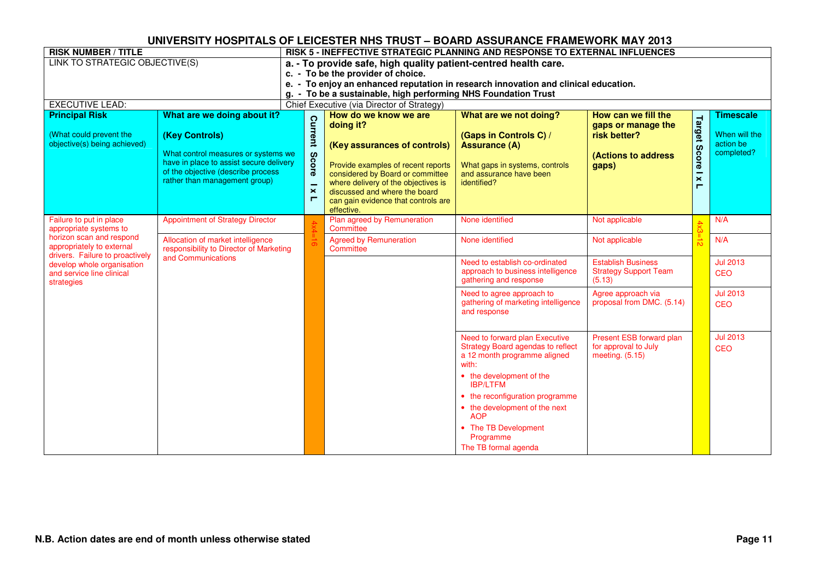| <b>RISK NUMBER / TITLE</b>                                                                                                                                                                                                                                               |                                                                                                                                                                                                        | RISK 5 - INEFFECTIVE STRATEGIC PLANNING AND RESPONSE TO EXTERNAL INFLUENCES                                                                                                                                                                                         |                                                                                                                                                                                                                                                                           |                                                                                                                                                                                                       |                                                                                           |                                               |                                                              |  |  |
|--------------------------------------------------------------------------------------------------------------------------------------------------------------------------------------------------------------------------------------------------------------------------|--------------------------------------------------------------------------------------------------------------------------------------------------------------------------------------------------------|---------------------------------------------------------------------------------------------------------------------------------------------------------------------------------------------------------------------------------------------------------------------|---------------------------------------------------------------------------------------------------------------------------------------------------------------------------------------------------------------------------------------------------------------------------|-------------------------------------------------------------------------------------------------------------------------------------------------------------------------------------------------------|-------------------------------------------------------------------------------------------|-----------------------------------------------|--------------------------------------------------------------|--|--|
| LINK TO STRATEGIC OBJECTIVE(S)                                                                                                                                                                                                                                           |                                                                                                                                                                                                        | a. - To provide safe, high quality patient-centred health care.<br>c. - To be the provider of choice.<br>To enjoy an enhanced reputation in research innovation and clinical education.<br>$e. -$<br>g. - To be a sustainable, high performing NHS Foundation Trust |                                                                                                                                                                                                                                                                           |                                                                                                                                                                                                       |                                                                                           |                                               |                                                              |  |  |
| <b>EXECUTIVE LEAD:</b>                                                                                                                                                                                                                                                   |                                                                                                                                                                                                        | Chief Executive (via Director of Strategy)                                                                                                                                                                                                                          |                                                                                                                                                                                                                                                                           |                                                                                                                                                                                                       |                                                                                           |                                               |                                                              |  |  |
| <b>Principal Risk</b><br>(What could prevent the<br>objective(s) being achieved)                                                                                                                                                                                         | What are we doing about it?<br>(Key Controls)<br>What control measures or systems we<br>have in place to assist secure delivery<br>of the objective (describe process<br>rather than management group) | Current<br><b>Score</b><br>$\overline{\phantom{0}}$<br>$\boldsymbol{\times}$<br>$\blacksquare$                                                                                                                                                                      | How do we know we are<br>doing it?<br>(Key assurances of controls)<br>Provide examples of recent reports<br>considered by Board or committee<br>where delivery of the objectives is<br>discussed and where the board<br>can gain evidence that controls are<br>effective. | What are we not doing?<br>(Gaps in Controls C) /<br><b>Assurance (A)</b><br>What gaps in systems, controls<br>and assurance have been<br>identified?                                                  | How can we fill the<br>gaps or manage the<br>risk better?<br>(Actions to address<br>gaps) | Target<br><b>Score</b><br>$\pmb{\times}$<br>Е | <b>Timescale</b><br>When will the<br>action be<br>completed? |  |  |
| <b>Appointment of Strategy Director</b><br>Failure to put in place<br>appropriate systems to<br>horizon scan and respond<br>Allocation of market intelligence<br>appropriately to external<br>responsibility to Director of Marketing<br>drivers. Failure to proactively |                                                                                                                                                                                                        | Plan agreed by Remuneration<br>Committee                                                                                                                                                                                                                            | None identified                                                                                                                                                                                                                                                           | Not applicable                                                                                                                                                                                        |                                                                                           | N/A                                           |                                                              |  |  |
|                                                                                                                                                                                                                                                                          |                                                                                                                                                                                                        |                                                                                                                                                                                                                                                                     | <b>Agreed by Remuneration</b><br>Committee                                                                                                                                                                                                                                | None identified                                                                                                                                                                                       | Not applicable                                                                            |                                               | N/A                                                          |  |  |
| develop whole organisation<br>and service line clinical<br>strategies                                                                                                                                                                                                    | and Communications                                                                                                                                                                                     |                                                                                                                                                                                                                                                                     |                                                                                                                                                                                                                                                                           | Need to establish co-ordinated<br>approach to business intelligence<br>gathering and response                                                                                                         | <b>Establish Business</b><br><b>Strategy Support Team</b><br>(5.13)                       |                                               | <b>Jul 2013</b><br><b>CEO</b>                                |  |  |
|                                                                                                                                                                                                                                                                          |                                                                                                                                                                                                        |                                                                                                                                                                                                                                                                     |                                                                                                                                                                                                                                                                           | Need to agree approach to<br>gathering of marketing intelligence<br>and response                                                                                                                      | Agree approach via<br>proposal from DMC. (5.14)                                           |                                               | <b>Jul 2013</b><br><b>CEO</b>                                |  |  |
|                                                                                                                                                                                                                                                                          |                                                                                                                                                                                                        |                                                                                                                                                                                                                                                                     |                                                                                                                                                                                                                                                                           | Need to forward plan Executive<br><b>Strategy Board agendas to reflect</b><br>a 12 month programme aligned<br>with:<br>• the development of the<br><b>IBP/LTFM</b><br>• the reconfiguration programme | Present ESB forward plan<br>for approval to July<br>meeting. $(5.15)$                     |                                               | <b>Jul 2013</b><br><b>CEO</b>                                |  |  |
|                                                                                                                                                                                                                                                                          |                                                                                                                                                                                                        |                                                                                                                                                                                                                                                                     |                                                                                                                                                                                                                                                                           | • the development of the next<br><b>AOP</b><br>• The TB Development<br>Programme<br>The TB formal agenda                                                                                              |                                                                                           |                                               |                                                              |  |  |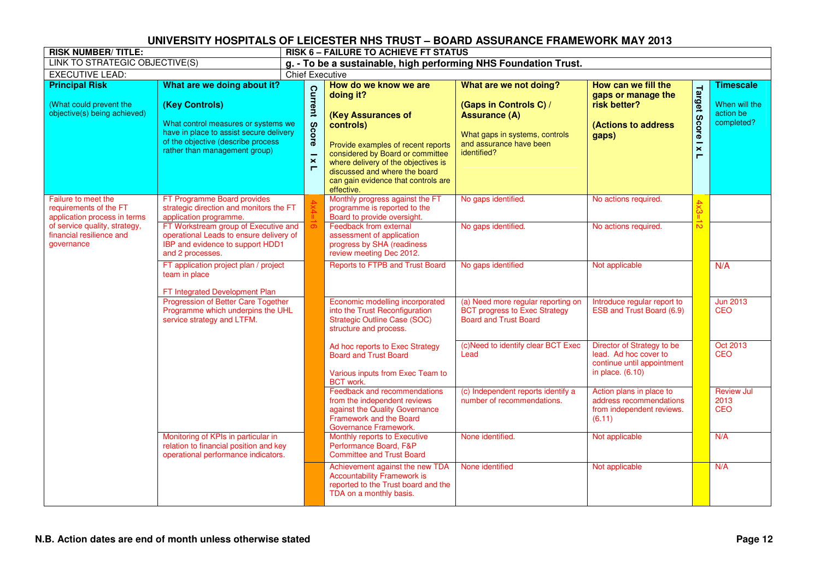| <b>RISK NUMBER/TITLE:</b>                                                        |                                                                                                                                                                                                        |                        |                                                                | <b>RISK 6 - FAILURE TO ACHIEVE FT STATUS</b>                                                                                                                                                                                                                                 |                                                                                                                                                      |                                                                                                         |                                 |                                                              |
|----------------------------------------------------------------------------------|--------------------------------------------------------------------------------------------------------------------------------------------------------------------------------------------------------|------------------------|----------------------------------------------------------------|------------------------------------------------------------------------------------------------------------------------------------------------------------------------------------------------------------------------------------------------------------------------------|------------------------------------------------------------------------------------------------------------------------------------------------------|---------------------------------------------------------------------------------------------------------|---------------------------------|--------------------------------------------------------------|
| <b>LINK TO STRATEGIC OBJECTIVE(S)</b>                                            |                                                                                                                                                                                                        |                        |                                                                | g. - To be a sustainable, high performing NHS Foundation Trust.                                                                                                                                                                                                              |                                                                                                                                                      |                                                                                                         |                                 |                                                              |
| <b>EXECUTIVE LEAD:</b>                                                           |                                                                                                                                                                                                        | <b>Chief Executive</b> |                                                                |                                                                                                                                                                                                                                                                              |                                                                                                                                                      |                                                                                                         |                                 |                                                              |
| <b>Principal Risk</b><br>(What could prevent the<br>objective(s) being achieved) | What are we doing about it?<br>(Key Controls)<br>What control measures or systems we<br>have in place to assist secure delivery<br>of the objective (describe process<br>rather than management group) |                        | <b>Current</b><br><b>Score</b><br>$\overline{\mathbf{x}}$<br>п | How do we know we are<br>doing it?<br>(Key Assurances of<br>controls)<br>Provide examples of recent reports<br>considered by Board or committee<br>where delivery of the objectives is<br>discussed and where the board<br>can gain evidence that controls are<br>effective. | What are we not doing?<br>(Gaps in Controls C) /<br><b>Assurance (A)</b><br>What gaps in systems, controls<br>and assurance have been<br>identified? | How can we fill the<br>gaps or manage the<br>risk better?<br>(Actions to address<br>gaps)               | <b>Target</b><br>Score   x<br>Н | <b>Timescale</b><br>When will the<br>action be<br>completed? |
| Failure to meet the<br>requirements of the FT<br>application process in terms    | FT Programme Board provides<br>strategic direction and monitors the FT<br>application programme.                                                                                                       |                        |                                                                | Monthly progress against the FT<br>programme is reported to the<br>Board to provide oversight.                                                                                                                                                                               | No gaps identified.                                                                                                                                  | No actions required.                                                                                    | 4x3                             |                                                              |
| of service quality, strategy,<br>financial resilience and<br>governance          | FT Workstream group of Executive and<br>operational Leads to ensure delivery of<br>IBP and evidence to support HDD1<br>and 2 processes.                                                                |                        |                                                                | Feedback from external<br>assessment of application<br>progress by SHA (readiness<br>review meeting Dec 2012.                                                                                                                                                                | No gaps identified.                                                                                                                                  | No actions required.                                                                                    | $\overline{6}$                  |                                                              |
|                                                                                  | FT application project plan / project<br>team in place<br>FT Integrated Development Plan                                                                                                               |                        |                                                                | <b>Reports to FTPB and Trust Board</b>                                                                                                                                                                                                                                       | No gaps identified                                                                                                                                   | Not applicable                                                                                          |                                 | N/A                                                          |
|                                                                                  | Progression of Better Care Together<br>Programme which underpins the UHL<br>service strategy and LTFM.                                                                                                 |                        |                                                                | Economic modelling incorporated<br>into the Trust Reconfiguration<br>Strategic Outline Case (SOC)<br>structure and process.                                                                                                                                                  | (a) Need more regular reporting on<br><b>BCT progress to Exec Strategy</b><br><b>Board and Trust Board</b>                                           | Introduce regular report to<br>ESB and Trust Board (6.9)                                                |                                 | <b>Jun 2013</b><br><b>CEO</b>                                |
|                                                                                  |                                                                                                                                                                                                        |                        |                                                                | Ad hoc reports to Exec Strategy<br><b>Board and Trust Board</b><br>Various inputs from Exec Team to<br><b>BCT</b> work.                                                                                                                                                      | (c)Need to identify clear BCT Exec<br>Lead                                                                                                           | Director of Strategy to be<br>lead. Ad hoc cover to<br>continue until appointment<br>in place. $(6.10)$ |                                 | <b>Oct 2013</b><br><b>CEO</b>                                |
|                                                                                  |                                                                                                                                                                                                        |                        |                                                                | Feedback and recommendations<br>from the independent reviews<br>against the Quality Governance<br>Framework and the Board<br>Governance Framework.                                                                                                                           | (c) Independent reports identify a<br>number of recommendations.                                                                                     | Action plans in place to<br>address recommendations<br>from independent reviews.<br>(6.11)              |                                 | <b>Review Jul</b><br>2013<br><b>CEO</b>                      |
|                                                                                  | Monitoring of KPIs in particular in<br>relation to financial position and key<br>operational performance indicators.                                                                                   |                        |                                                                | Monthly reports to Executive<br>Performance Board, F&P<br><b>Committee and Trust Board</b>                                                                                                                                                                                   | None identified.                                                                                                                                     | Not applicable                                                                                          |                                 | N/A                                                          |
|                                                                                  |                                                                                                                                                                                                        |                        |                                                                | Achievement against the new TDA<br><b>Accountability Framework is</b><br>reported to the Trust board and the<br>TDA on a monthly basis.                                                                                                                                      | None identified                                                                                                                                      | Not applicable                                                                                          |                                 | N/A                                                          |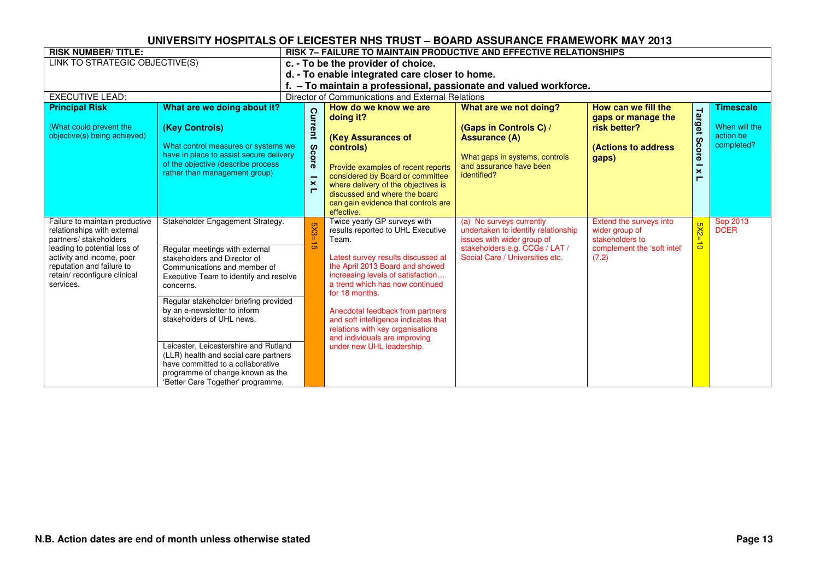| <b>RISK NUMBER/TITLE:</b>                                 |                                                                                | <b>RISK 7- FAILURE TO MAINTAIN PRODUCTIVE AND EFFECTIVE RELATIONSHIPS</b> |                                         |                                                   |                                                                   |                             |                       |                            |  |
|-----------------------------------------------------------|--------------------------------------------------------------------------------|---------------------------------------------------------------------------|-----------------------------------------|---------------------------------------------------|-------------------------------------------------------------------|-----------------------------|-----------------------|----------------------------|--|
| LINK TO STRATEGIC OBJECTIVE(S)                            |                                                                                |                                                                           |                                         | c. - To be the provider of choice.                |                                                                   |                             |                       |                            |  |
|                                                           |                                                                                |                                                                           |                                         | d. - To enable integrated care closer to home.    |                                                                   |                             |                       |                            |  |
|                                                           |                                                                                |                                                                           |                                         |                                                   | f. - To maintain a professional, passionate and valued workforce. |                             |                       |                            |  |
| <b>EXECUTIVE LEAD:</b>                                    |                                                                                |                                                                           |                                         | Director of Communications and External Relations |                                                                   |                             |                       |                            |  |
| <b>Principal Risk</b>                                     | What are we doing about it?                                                    |                                                                           |                                         | How do we know we are                             | What are we not doing?                                            | How can we fill the         |                       | <b>Timescale</b>           |  |
|                                                           |                                                                                |                                                                           | Current                                 | doing it?                                         |                                                                   | gaps or manage the          | Target                |                            |  |
| (What could prevent the                                   | (Key Controls)                                                                 |                                                                           |                                         |                                                   | (Gaps in Controls C) /                                            | risk better?                |                       | When will the<br>action be |  |
| objective(s) being achieved)                              | What control measures or systems we                                            |                                                                           |                                         | (Key Assurances of                                | <b>Assurance (A)</b>                                              |                             | Score                 | completed?                 |  |
|                                                           | have in place to assist secure delivery                                        |                                                                           |                                         | controls)                                         | What gaps in systems, controls                                    | <b>(Actions to address)</b> |                       |                            |  |
|                                                           | of the objective (describe process                                             |                                                                           | <b>Score</b>                            | Provide examples of recent reports                | and assurance have been                                           | gaps)                       |                       |                            |  |
|                                                           | rather than management group)                                                  |                                                                           | ۰                                       | considered by Board or committee                  | identified?                                                       |                             | $\mathbf{\times}$     |                            |  |
|                                                           |                                                                                |                                                                           | $\boldsymbol{\times}$<br>$\blacksquare$ | where delivery of the objectives is               |                                                                   |                             |                       |                            |  |
|                                                           |                                                                                |                                                                           |                                         | discussed and where the board                     |                                                                   |                             |                       |                            |  |
|                                                           |                                                                                |                                                                           |                                         | can gain evidence that controls are<br>effective. |                                                                   |                             |                       |                            |  |
| Failure to maintain productive                            | Stakeholder Engagement Strategy.                                               |                                                                           |                                         | Twice yearly GP surveys with                      | (a) No surveys currently                                          | Extend the surveys into     |                       | Sep 2013                   |  |
| relationships with external                               |                                                                                |                                                                           | Š                                       | results reported to UHL Executive                 | undertaken to identify relationship                               | wider group of              | $5X2 =$               | <b>DCER</b>                |  |
| partners/ stakeholders                                    |                                                                                |                                                                           |                                         | Team.                                             | issues with wider group of                                        | stakeholders to             | $\ddot{\vec{\sigma}}$ |                            |  |
| leading to potential loss of<br>activity and income, poor | Regular meetings with external                                                 |                                                                           |                                         | Latest survey results discussed at                | stakeholders e.g. CCGs / LAT /<br>Social Care / Universities etc. | complement the 'soft intel' |                       |                            |  |
| reputation and failure to                                 | stakeholders and Director of<br>Communications and member of                   |                                                                           |                                         | the April 2013 Board and showed                   |                                                                   | (7.2)                       |                       |                            |  |
| retain/ reconfigure clinical                              | Executive Team to identify and resolve                                         |                                                                           |                                         | increasing levels of satisfaction                 |                                                                   |                             |                       |                            |  |
| services.                                                 | concerns.                                                                      |                                                                           |                                         | a trend which has now continued                   |                                                                   |                             |                       |                            |  |
|                                                           | Regular stakeholder briefing provided                                          |                                                                           |                                         | for 18 months.                                    |                                                                   |                             |                       |                            |  |
|                                                           | by an e-newsletter to inform                                                   |                                                                           |                                         | Anecdotal feedback from partners                  |                                                                   |                             |                       |                            |  |
|                                                           | stakeholders of UHL news.                                                      |                                                                           |                                         | and soft intelligence indicates that              |                                                                   |                             |                       |                            |  |
|                                                           |                                                                                |                                                                           |                                         | relations with key organisations                  |                                                                   |                             |                       |                            |  |
|                                                           |                                                                                |                                                                           |                                         | and individuals are improving                     |                                                                   |                             |                       |                            |  |
|                                                           | Leicester, Leicestershire and Rutland<br>(LLR) health and social care partners |                                                                           |                                         | under new UHL leadership.                         |                                                                   |                             |                       |                            |  |
|                                                           | have committed to a collaborative                                              |                                                                           |                                         |                                                   |                                                                   |                             |                       |                            |  |
|                                                           | programme of change known as the                                               |                                                                           |                                         |                                                   |                                                                   |                             |                       |                            |  |
|                                                           | 'Better Care Together' programme.                                              |                                                                           |                                         |                                                   |                                                                   |                             |                       |                            |  |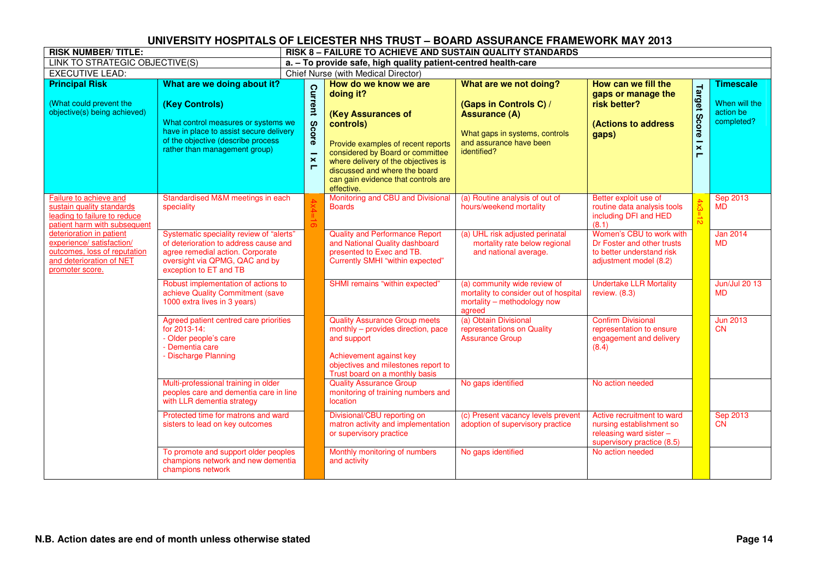| <b>RISK NUMBER/TITLE:</b>                                                                                                            |                                                                                                                                                                                                        | <b>RISK 8-FAILURE TO ACHIEVE AND SUSTAIN QUALITY STANDARDS</b> |                                                                                                                                                                                                                                                                              |                                                                                                                                                      |                                                                                                                   |                                      |                                                              |  |  |  |
|--------------------------------------------------------------------------------------------------------------------------------------|--------------------------------------------------------------------------------------------------------------------------------------------------------------------------------------------------------|----------------------------------------------------------------|------------------------------------------------------------------------------------------------------------------------------------------------------------------------------------------------------------------------------------------------------------------------------|------------------------------------------------------------------------------------------------------------------------------------------------------|-------------------------------------------------------------------------------------------------------------------|--------------------------------------|--------------------------------------------------------------|--|--|--|
| LINK TO STRATEGIC OBJECTIVE(S)                                                                                                       |                                                                                                                                                                                                        |                                                                | a. - To provide safe, high quality patient-centred health-care                                                                                                                                                                                                               |                                                                                                                                                      |                                                                                                                   |                                      |                                                              |  |  |  |
| <b>EXECUTIVE LEAD:</b>                                                                                                               |                                                                                                                                                                                                        |                                                                | Chief Nurse (with Medical Director)                                                                                                                                                                                                                                          |                                                                                                                                                      |                                                                                                                   |                                      |                                                              |  |  |  |
| <b>Principal Risk</b><br>(What could prevent the<br>objective(s) being achieved)                                                     | What are we doing about it?<br>(Key Controls)<br>What control measures or systems we<br>have in place to assist secure delivery<br>of the objective (describe process<br>rather than management group) | <b>Current</b><br><b>Score</b><br>$\boldsymbol{\times}$<br>Е   | How do we know we are<br>doing it?<br>(Key Assurances of<br>controls)<br>Provide examples of recent reports<br>considered by Board or committee<br>where delivery of the objectives is<br>discussed and where the board<br>can gain evidence that controls are<br>effective. | What are we not doing?<br>(Gaps in Controls C) /<br><b>Assurance (A)</b><br>What gaps in systems, controls<br>and assurance have been<br>identified? | How can we fill the<br>gaps or manage the<br>risk better?<br>(Actions to address<br>gaps)                         | Target<br>Score<br>$\mathbf{x}$<br>Н | <b>Timescale</b><br>When will the<br>action be<br>completed? |  |  |  |
| Failure to achieve and<br>sustain quality standards<br>leading to failure to reduce<br>patient harm with subsequent                  | Standardised M&M meetings in each<br>speciality                                                                                                                                                        |                                                                | Monitoring and CBU and Divisional<br><b>Boards</b>                                                                                                                                                                                                                           | (a) Routine analysis of out of<br>hours/weekend mortality                                                                                            | Better exploit use of<br>routine data analysis tools<br>including DFI and HED<br>(8.1)                            | $4x3 = 12$                           | <b>Sep 2013</b><br><b>MD</b>                                 |  |  |  |
| deterioration in patient<br>experience/ satisfaction/<br>outcomes, loss of reputation<br>and deterioration of NET<br>promoter score. | Systematic speciality review of "alerts"<br>of deterioration to address cause and<br>agree remedial action. Corporate<br>oversight via QPMG, QAC and by<br>exception to ET and TB                      |                                                                | <b>Quality and Performance Report</b><br>and National Quality dashboard<br>presented to Exec and TB.<br>Currently SMHI "within expected"                                                                                                                                     | (a) UHL risk adjusted perinatal<br>mortality rate below regional<br>and national average.                                                            | Women's CBU to work with<br>Dr Foster and other trusts<br>to better understand risk<br>adjustment model (8.2)     |                                      | <b>Jan 2014</b><br><b>MD</b>                                 |  |  |  |
|                                                                                                                                      | Robust implementation of actions to<br>achieve Quality Commitment (save<br>1000 extra lives in 3 years)                                                                                                |                                                                | SHMI remains "within expected"                                                                                                                                                                                                                                               | (a) community wide review of<br>mortality to consider out of hospital<br>mortality - methodology now<br>agreed                                       | <b>Undertake LLR Mortality</b><br>review. $(8.3)$                                                                 |                                      | Jun/Jul 20 13<br><b>MD</b>                                   |  |  |  |
|                                                                                                                                      | Agreed patient centred care priorities<br>for 2013-14:<br>- Older people's care<br>- Dementia care<br>- Discharge Planning                                                                             |                                                                | <b>Quality Assurance Group meets</b><br>monthly - provides direction, pace<br>and support<br>Achievement against key<br>objectives and milestones report to<br>Trust board on a monthly basis                                                                                | (a) Obtain Divisional<br>representations on Quality<br><b>Assurance Group</b>                                                                        | <b>Confirm Divisional</b><br>representation to ensure<br>engagement and delivery<br>(8.4)                         |                                      | <b>Jun 2013</b><br><b>CN</b>                                 |  |  |  |
|                                                                                                                                      | Multi-professional training in older<br>peoples care and dementia care in line<br>with LLR dementia strategy                                                                                           |                                                                | <b>Quality Assurance Group</b><br>monitoring of training numbers and<br>location                                                                                                                                                                                             | No gaps identified                                                                                                                                   | No action needed                                                                                                  |                                      |                                                              |  |  |  |
|                                                                                                                                      | Protected time for matrons and ward<br>sisters to lead on key outcomes                                                                                                                                 |                                                                | Divisional/CBU reporting on<br>matron activity and implementation<br>or supervisory practice                                                                                                                                                                                 | (c) Present vacancy levels prevent<br>adoption of supervisory practice                                                                               | Active recruitment to ward<br>nursing establishment so<br>releasing ward sister $-$<br>supervisory practice (8.5) |                                      | Sep 2013<br><b>CN</b>                                        |  |  |  |
|                                                                                                                                      | To promote and support older peoples<br>champions network and new dementia<br>champions network                                                                                                        |                                                                | Monthly monitoring of numbers<br>and activity                                                                                                                                                                                                                                | No gaps identified                                                                                                                                   | No action needed                                                                                                  |                                      |                                                              |  |  |  |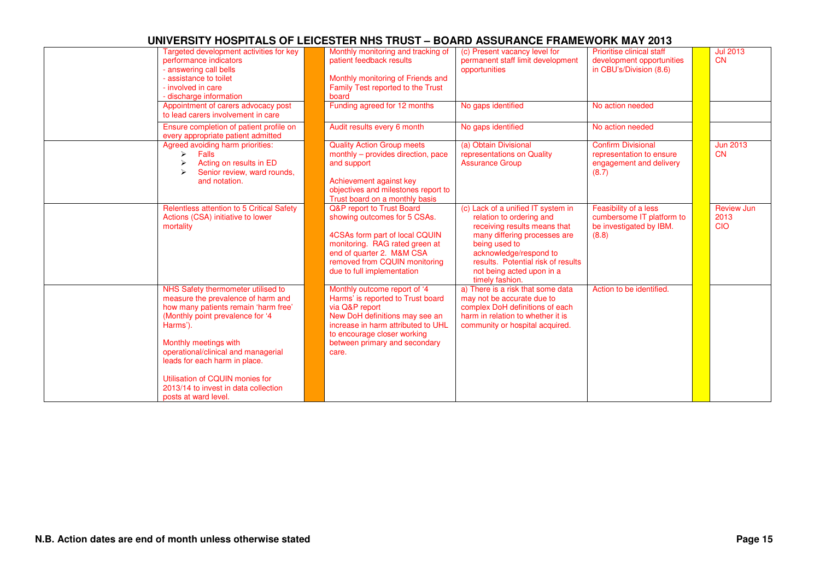| Targeted development activities for key<br>performance indicators<br>- answering call bells<br>- assistance to toilet<br>- involved in care<br>- discharge information<br>Appointment of carers advocacy post                                                                                                                                                        | Monthly monitoring and tracking of<br>patient feedback results<br>Monthly monitoring of Friends and<br>Family Test reported to the Trust<br>board<br>Funding agreed for 12 months                                                    | (c) Present vacancy level for<br>permanent staff limit development<br>opportunities<br>No gaps identified                                                                                                                                                       | Prioritise clinical staff<br>development opportunities<br>in CBU's/Division (8.6)<br>No action needed | <b>Jul 2013</b><br><b>CN</b>            |
|----------------------------------------------------------------------------------------------------------------------------------------------------------------------------------------------------------------------------------------------------------------------------------------------------------------------------------------------------------------------|--------------------------------------------------------------------------------------------------------------------------------------------------------------------------------------------------------------------------------------|-----------------------------------------------------------------------------------------------------------------------------------------------------------------------------------------------------------------------------------------------------------------|-------------------------------------------------------------------------------------------------------|-----------------------------------------|
| to lead carers involvement in care<br>Ensure completion of patient profile on<br>every appropriate patient admitted                                                                                                                                                                                                                                                  | Audit results every 6 month                                                                                                                                                                                                          | No gaps identified                                                                                                                                                                                                                                              | No action needed                                                                                      |                                         |
| Agreed avoiding harm priorities:<br>Falls<br>$\blacktriangleright$<br>Acting on results in ED<br>Senior review, ward rounds,<br>and notation.                                                                                                                                                                                                                        | <b>Quality Action Group meets</b><br>monthly - provides direction, pace<br>and support<br>Achievement against key<br>objectives and milestones report to<br>Trust board on a monthly basis                                           | (a) Obtain Divisional<br>representations on Quality<br><b>Assurance Group</b>                                                                                                                                                                                   | <b>Confirm Divisional</b><br>representation to ensure<br>engagement and delivery<br>(8.7)             | <b>Jun 2013</b><br>CN                   |
| <b>Relentless attention to 5 Critical Safety</b><br>Actions (CSA) initiative to lower<br>mortality                                                                                                                                                                                                                                                                   | Q&P report to Trust Board<br>showing outcomes for 5 CSAs.<br>4CSAs form part of local CQUIN<br>monitoring. RAG rated green at<br>end of quarter 2. M&M CSA<br>removed from CQUIN monitoring<br>due to full implementation            | (c) Lack of a unified IT system in<br>relation to ordering and<br>receiving results means that<br>many differing processes are<br>being used to<br>acknowledge/respond to<br>results. Potential risk of results<br>not being acted upon in a<br>timely fashion. | Feasibility of a less<br>cumbersome IT platform to<br>be investigated by IBM.<br>(8.8)                | <b>Review Jun</b><br>2013<br><b>CIO</b> |
| NHS Safety thermometer utilised to<br>measure the prevalence of harm and<br>how many patients remain 'harm free'<br>(Monthly point prevalence for '4<br>Harms').<br>Monthly meetings with<br>operational/clinical and managerial<br>leads for each harm in place.<br>Utilisation of CQUIN monies for<br>2013/14 to invest in data collection<br>posts at ward level. | Monthly outcome report of '4<br>Harms' is reported to Trust board<br>via Q&P report<br>New DoH definitions may see an<br>increase in harm attributed to UHL<br>to encourage closer working<br>between primary and secondary<br>care. | a) There is a risk that some data<br>may not be accurate due to<br>complex DoH definitions of each<br>harm in relation to whether it is<br>community or hospital acquired.                                                                                      | Action to be identified.                                                                              |                                         |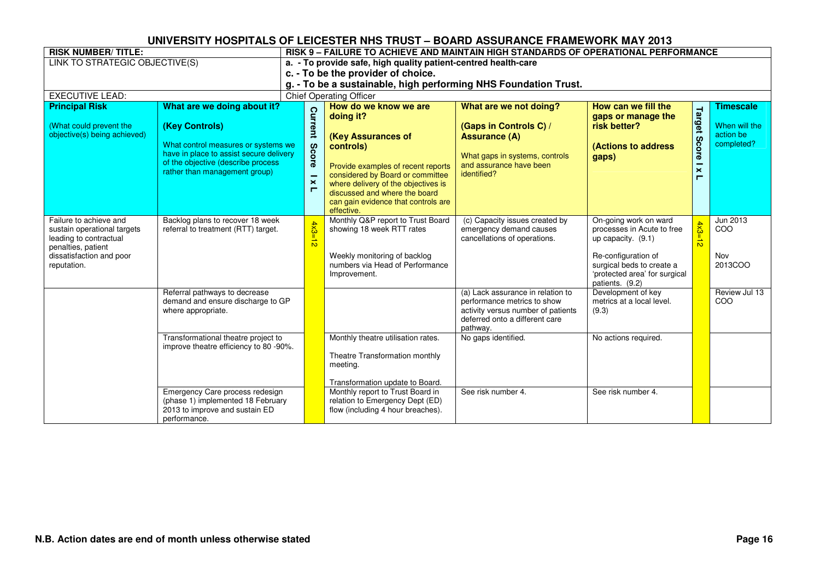| <b>RISK NUMBER/TITLE:</b>                                                                                                                        |                                                                                                                                                                                                        | RISK 9 - FAILURE TO ACHIEVE AND MAINTAIN HIGH STANDARDS OF OPERATIONAL PERFORMANCE |                                   |                                                                                                                                                                                                                                                                              |                                                                                                                                                      |                                                                                                                                                                                   |                                  |                                                              |  |  |
|--------------------------------------------------------------------------------------------------------------------------------------------------|--------------------------------------------------------------------------------------------------------------------------------------------------------------------------------------------------------|------------------------------------------------------------------------------------|-----------------------------------|------------------------------------------------------------------------------------------------------------------------------------------------------------------------------------------------------------------------------------------------------------------------------|------------------------------------------------------------------------------------------------------------------------------------------------------|-----------------------------------------------------------------------------------------------------------------------------------------------------------------------------------|----------------------------------|--------------------------------------------------------------|--|--|
| LINK TO STRATEGIC OBJECTIVE(S)                                                                                                                   |                                                                                                                                                                                                        |                                                                                    |                                   | a. - To provide safe, high quality patient-centred health-care                                                                                                                                                                                                               |                                                                                                                                                      |                                                                                                                                                                                   |                                  |                                                              |  |  |
|                                                                                                                                                  |                                                                                                                                                                                                        |                                                                                    |                                   | c. - To be the provider of choice.                                                                                                                                                                                                                                           |                                                                                                                                                      |                                                                                                                                                                                   |                                  |                                                              |  |  |
|                                                                                                                                                  |                                                                                                                                                                                                        |                                                                                    |                                   | g. - To be a sustainable, high performing NHS Foundation Trust.                                                                                                                                                                                                              |                                                                                                                                                      |                                                                                                                                                                                   |                                  |                                                              |  |  |
| <b>EXECUTIVE LEAD:</b>                                                                                                                           |                                                                                                                                                                                                        |                                                                                    |                                   | <b>Chief Operating Officer</b>                                                                                                                                                                                                                                               |                                                                                                                                                      |                                                                                                                                                                                   |                                  |                                                              |  |  |
| <b>Principal Risk</b><br>(What could prevent the<br>objective(s) being achieved)                                                                 | What are we doing about it?<br>(Key Controls)<br>What control measures or systems we<br>have in place to assist secure delivery<br>of the objective (describe process<br>rather than management group) |                                                                                    | Current<br>Score<br>$\times$<br>Е | How do we know we are<br>doing it?<br>(Key Assurances of<br>controls)<br>Provide examples of recent reports<br>considered by Board or committee<br>where delivery of the objectives is<br>discussed and where the board<br>can gain evidence that controls are<br>effective. | What are we not doing?<br>(Gaps in Controls C) /<br><b>Assurance (A)</b><br>What gaps in systems, controls<br>and assurance have been<br>identified? | How can we fill the<br>gaps or manage the<br>risk better?<br><b>(Actions to address)</b><br>gaps)                                                                                 | Target<br><b>Score</b><br>×<br>┍ | <b>Timescale</b><br>When will the<br>action be<br>completed? |  |  |
| Failure to achieve and<br>sustain operational targets<br>leading to contractual<br>penalties, patient<br>dissatisfaction and poor<br>reputation. | Backlog plans to recover 18 week<br>referral to treatment (RTT) target.                                                                                                                                |                                                                                    | 4x3<br>$\frac{1}{\infty}$         | Monthly Q&P report to Trust Board<br>showing 18 week RTT rates<br>Weekly monitoring of backlog<br>numbers via Head of Performance<br>Improvement.                                                                                                                            | (c) Capacity issues created by<br>emergency demand causes<br>cancellations of operations.                                                            | On-going work on ward<br>processes in Acute to free<br>up capacity. (9.1)<br>Re-configuration of<br>surgical beds to create a<br>'protected area' for surgical<br>patients. (9.2) | $4x3=12$                         | Jun 2013<br><b>COO</b><br>Nov<br>2013COO                     |  |  |
|                                                                                                                                                  | Referral pathways to decrease<br>demand and ensure discharge to GP<br>where appropriate.                                                                                                               |                                                                                    |                                   |                                                                                                                                                                                                                                                                              | (a) Lack assurance in relation to<br>performance metrics to show<br>activity versus number of patients<br>deferred onto a different care<br>pathway. | Development of key<br>metrics at a local level.<br>(9.3)                                                                                                                          |                                  | Review Jul 13<br>COO                                         |  |  |
|                                                                                                                                                  | Transformational theatre project to<br>improve theatre efficiency to 80 -90%.<br>Emergency Care process redesign                                                                                       |                                                                                    |                                   | Monthly theatre utilisation rates.<br>Theatre Transformation monthly<br>meeting.<br>Transformation update to Board.<br>Monthly report to Trust Board in                                                                                                                      | No gaps identified.<br>See risk number 4.                                                                                                            | No actions required.<br>See risk number 4.                                                                                                                                        |                                  |                                                              |  |  |
|                                                                                                                                                  | (phase 1) implemented 18 February<br>2013 to improve and sustain ED<br>performance.                                                                                                                    |                                                                                    |                                   | relation to Emergency Dept (ED)<br>flow (including 4 hour breaches).                                                                                                                                                                                                         |                                                                                                                                                      |                                                                                                                                                                                   |                                  |                                                              |  |  |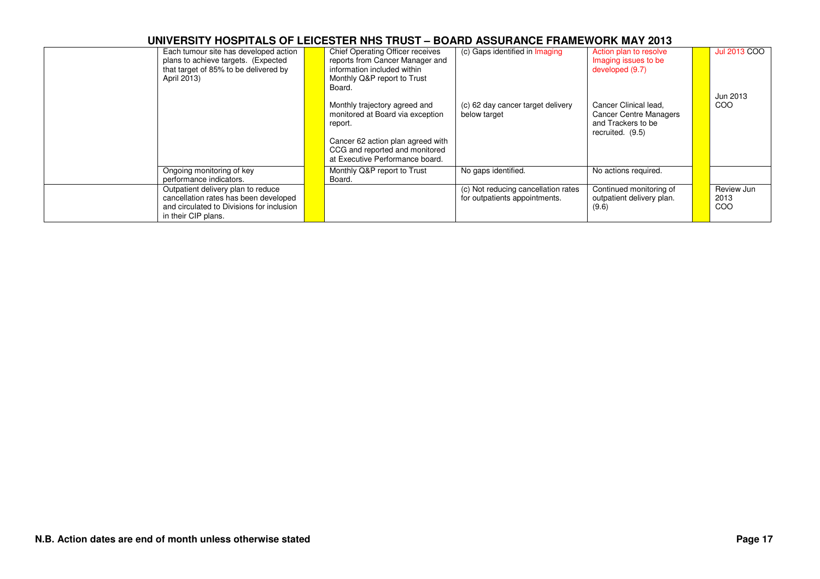| April 2013)                                          | Each tumour site has developed action<br>plans to achieve targets. (Expected<br>that target of 85% to be delivered by    | <b>Chief Operating Officer receives</b><br>reports from Cancer Manager and<br>information included within<br>Monthly Q&P report to Trust<br>Board.                                     | (c) Gaps identified in Imaging                                       | Action plan to resolve<br>Imaging issues to be<br>developed (9.7)                                | <b>Jul 2013 COO</b><br>Jun 2013 |
|------------------------------------------------------|--------------------------------------------------------------------------------------------------------------------------|----------------------------------------------------------------------------------------------------------------------------------------------------------------------------------------|----------------------------------------------------------------------|--------------------------------------------------------------------------------------------------|---------------------------------|
|                                                      |                                                                                                                          | Monthly trajectory agreed and<br>monitored at Board via exception<br>report.<br>Cancer 62 action plan agreed with<br>CCG and reported and monitored<br>at Executive Performance board. | (c) 62 day cancer target delivery<br>below target                    | Cancer Clinical lead,<br><b>Cancer Centre Managers</b><br>and Trackers to be<br>recruited. (9.5) | COO                             |
| Ongoing monitoring of key<br>performance indicators. |                                                                                                                          | Monthly Q&P report to Trust<br>Board.                                                                                                                                                  | No gaps identified.                                                  | No actions required.                                                                             |                                 |
| in their CIP plans.                                  | Outpatient delivery plan to reduce<br>cancellation rates has been developed<br>and circulated to Divisions for inclusion |                                                                                                                                                                                        | (c) Not reducing cancellation rates<br>for outpatients appointments. | Continued monitoring of<br>outpatient delivery plan.<br>(9.6)                                    | Review Jun<br>2013<br>COO       |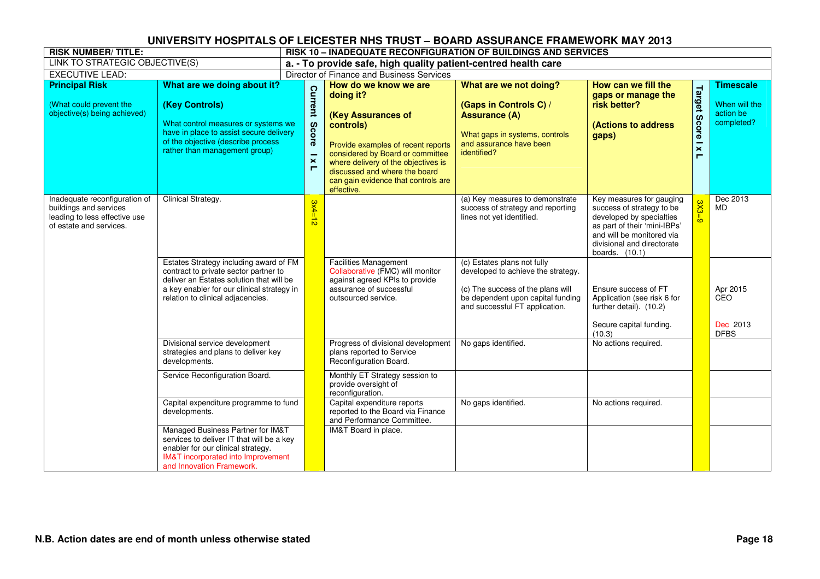| <b>RISK NUMBER/TITLE:</b>                                                                                           |                                                                                                                                                                                                                | <b>RISK 10 - INADEQUATE RECONFIGURATION OF BUILDINGS AND SERVICES</b> |                                                                                                                                                                                                                                                                              |                                                                                                                                                                               |                                                                                                                                                                                                  |                                                                   |                                                              |  |  |
|---------------------------------------------------------------------------------------------------------------------|----------------------------------------------------------------------------------------------------------------------------------------------------------------------------------------------------------------|-----------------------------------------------------------------------|------------------------------------------------------------------------------------------------------------------------------------------------------------------------------------------------------------------------------------------------------------------------------|-------------------------------------------------------------------------------------------------------------------------------------------------------------------------------|--------------------------------------------------------------------------------------------------------------------------------------------------------------------------------------------------|-------------------------------------------------------------------|--------------------------------------------------------------|--|--|
| LINK TO STRATEGIC OBJECTIVE(S)                                                                                      |                                                                                                                                                                                                                |                                                                       | a. - To provide safe, high quality patient-centred health care                                                                                                                                                                                                               |                                                                                                                                                                               |                                                                                                                                                                                                  |                                                                   |                                                              |  |  |
| <b>EXECUTIVE LEAD:</b>                                                                                              |                                                                                                                                                                                                                |                                                                       | Director of Finance and Business Services                                                                                                                                                                                                                                    |                                                                                                                                                                               |                                                                                                                                                                                                  |                                                                   |                                                              |  |  |
| <b>Principal Risk</b><br>(What could prevent the<br>objective(s) being achieved)                                    | What are we doing about it?<br>(Key Controls)<br>What control measures or systems we<br>have in place to assist secure delivery<br>of the objective (describe process<br>rather than management group)         | Current<br><b>Score</b><br>$\boldsymbol{\times}$<br>п                 | How do we know we are<br>doing it?<br>(Key Assurances of<br>controls)<br>Provide examples of recent reports<br>considered by Board or committee<br>where delivery of the objectives is<br>discussed and where the board<br>can gain evidence that controls are<br>effective. | What are we not doing?<br>(Gaps in Controls C) /<br><b>Assurance (A)</b><br>What gaps in systems, controls<br>and assurance have been<br>identified?                          | How can we fill the<br>gaps or manage the<br>risk better?<br><b>(Actions to address)</b><br>gaps)                                                                                                | Target<br><b>Score</b><br>$\boldsymbol{\times}$<br>$\blacksquare$ | <b>Timescale</b><br>When will the<br>action be<br>completed? |  |  |
| Inadequate reconfiguration of<br>buildings and services<br>leading to less effective use<br>of estate and services. | Clinical Strategy.                                                                                                                                                                                             | $3x4=12$                                                              |                                                                                                                                                                                                                                                                              | (a) Key measures to demonstrate<br>success of strategy and reporting<br>lines not yet identified.                                                                             | Key measures for gauging<br>success of strategy to be<br>developed by specialties<br>as part of their 'mini-IBPs'<br>and will be monitored via<br>divisional and directorate<br>boards. $(10.1)$ | 3X5<br>ഄ                                                          | Dec 2013<br><b>MD</b>                                        |  |  |
|                                                                                                                     | Estates Strategy including award of FM<br>contract to private sector partner to<br>deliver an Estates solution that will be<br>a key enabler for our clinical strategy in<br>relation to clinical adjacencies. |                                                                       | <b>Facilities Management</b><br>Collaborative (FMC) will monitor<br>against agreed KPIs to provide<br>assurance of successful<br>outsourced service.                                                                                                                         | (c) Estates plans not fully<br>developed to achieve the strategy.<br>(c) The success of the plans will<br>be dependent upon capital funding<br>and successful FT application. | Ensure success of FT<br>Application (see risk 6 for<br>further detail). (10.2)<br>Secure capital funding.<br>(10.3)                                                                              |                                                                   | Apr 2015<br><b>CEO</b><br>Dec 2013<br><b>DFBS</b>            |  |  |
|                                                                                                                     | Divisional service development<br>strategies and plans to deliver key<br>developments.                                                                                                                         |                                                                       | Progress of divisional development<br>plans reported to Service<br>Reconfiguration Board.                                                                                                                                                                                    | No gaps identified.                                                                                                                                                           | No actions required.                                                                                                                                                                             |                                                                   |                                                              |  |  |
|                                                                                                                     | Service Reconfiguration Board.                                                                                                                                                                                 |                                                                       | Monthly ET Strategy session to<br>provide oversight of<br>reconfiguration.                                                                                                                                                                                                   |                                                                                                                                                                               |                                                                                                                                                                                                  |                                                                   |                                                              |  |  |
|                                                                                                                     | Capital expenditure programme to fund<br>developments.                                                                                                                                                         |                                                                       | Capital expenditure reports<br>reported to the Board via Finance<br>and Performance Committee.                                                                                                                                                                               | No gaps identified.                                                                                                                                                           | No actions required.                                                                                                                                                                             |                                                                   |                                                              |  |  |
|                                                                                                                     | Managed Business Partner for IM&T<br>services to deliver IT that will be a key<br>enabler for our clinical strategy.<br><b>IM&amp;T</b> incorporated into Improvement<br>and Innovation Framework.             |                                                                       | IM&T Board in place.                                                                                                                                                                                                                                                         |                                                                                                                                                                               |                                                                                                                                                                                                  |                                                                   |                                                              |  |  |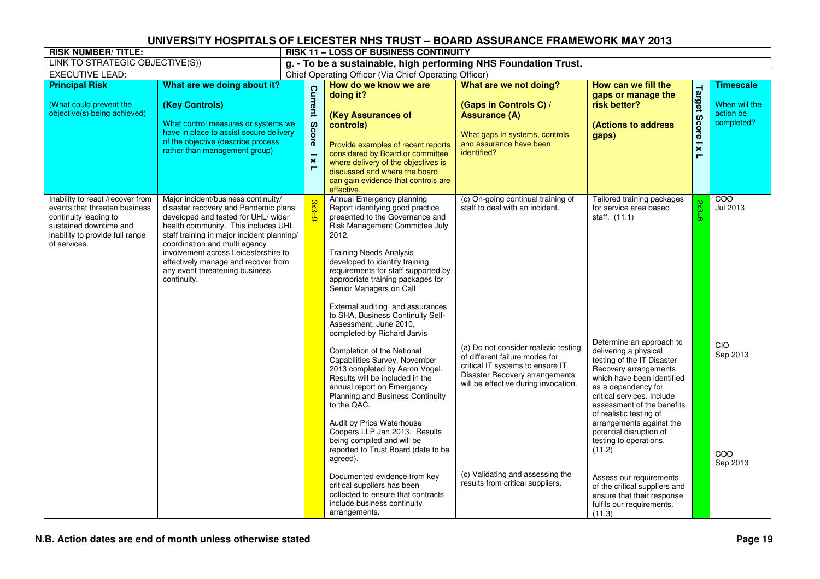| <b>RISK NUMBER/TITLE:</b>                                                                                                                                               |                                                                                                                                                                                                                                                                                                                                                                          |                                                | <b>RISK 11 - LOSS OF BUSINESS CONTINUITY</b>                                                                                                                                                                                                                                                                                                                                                                                                                                                                                                                                                                                                                                                                                                                                                                                                                                                                                                                            |                                                                                                                                                                                                                                                                                                                                        |                                                                                                                                                                                                                                                                                                                                                                                                                                                                                                                                                 |                                       |                                                                    |
|-------------------------------------------------------------------------------------------------------------------------------------------------------------------------|--------------------------------------------------------------------------------------------------------------------------------------------------------------------------------------------------------------------------------------------------------------------------------------------------------------------------------------------------------------------------|------------------------------------------------|-------------------------------------------------------------------------------------------------------------------------------------------------------------------------------------------------------------------------------------------------------------------------------------------------------------------------------------------------------------------------------------------------------------------------------------------------------------------------------------------------------------------------------------------------------------------------------------------------------------------------------------------------------------------------------------------------------------------------------------------------------------------------------------------------------------------------------------------------------------------------------------------------------------------------------------------------------------------------|----------------------------------------------------------------------------------------------------------------------------------------------------------------------------------------------------------------------------------------------------------------------------------------------------------------------------------------|-------------------------------------------------------------------------------------------------------------------------------------------------------------------------------------------------------------------------------------------------------------------------------------------------------------------------------------------------------------------------------------------------------------------------------------------------------------------------------------------------------------------------------------------------|---------------------------------------|--------------------------------------------------------------------|
| LINK TO STRATEGIC OBJECTIVE(S))                                                                                                                                         |                                                                                                                                                                                                                                                                                                                                                                          |                                                | g. - To be a sustainable, high performing NHS Foundation Trust.                                                                                                                                                                                                                                                                                                                                                                                                                                                                                                                                                                                                                                                                                                                                                                                                                                                                                                         |                                                                                                                                                                                                                                                                                                                                        |                                                                                                                                                                                                                                                                                                                                                                                                                                                                                                                                                 |                                       |                                                                    |
| <b>EXECUTIVE LEAD:</b>                                                                                                                                                  |                                                                                                                                                                                                                                                                                                                                                                          |                                                | Chief Operating Officer (Via Chief Operating Officer)                                                                                                                                                                                                                                                                                                                                                                                                                                                                                                                                                                                                                                                                                                                                                                                                                                                                                                                   |                                                                                                                                                                                                                                                                                                                                        |                                                                                                                                                                                                                                                                                                                                                                                                                                                                                                                                                 |                                       |                                                                    |
| <b>Principal Risk</b><br>(What could prevent the<br>objective(s) being achieved)                                                                                        | What are we doing about it?<br>(Key Controls)<br>What control measures or systems we<br>have in place to assist secure delivery<br>of the objective (describe process<br>rather than management group)                                                                                                                                                                   | Current<br><b>Score</b><br>$\pmb{\times}$<br>п | How do we know we are<br>doing it?<br>(Key Assurances of<br>controls)<br>Provide examples of recent reports<br>considered by Board or committee<br>where delivery of the objectives is<br>discussed and where the board<br>can gain evidence that controls are<br>effective.                                                                                                                                                                                                                                                                                                                                                                                                                                                                                                                                                                                                                                                                                            | What are we not doing?<br>(Gaps in Controls C) /<br><b>Assurance (A)</b><br>What gaps in systems, controls<br>and assurance have been<br>identified?                                                                                                                                                                                   | How can we fill the<br>gaps or manage the<br>risk better?<br>(Actions to address<br>gaps)                                                                                                                                                                                                                                                                                                                                                                                                                                                       | Target<br>Score I x<br>$\blacksquare$ | <b>Timescale</b><br>When will the<br>action be<br>completed?       |
| Inability to react /recover from<br>events that threaten business<br>continuity leading to<br>sustained downtime and<br>inability to provide full range<br>of services. | Major incident/business continuity/<br>disaster recovery and Pandemic plans<br>developed and tested for UHL/ wider<br>health community. This includes UHL<br>staff training in major incident planning/<br>coordination and multi agency<br>involvement across Leicestershire to<br>effectively manage and recover from<br>any event threatening business<br>continuity. |                                                | Annual Emergency planning<br>Report identifying good practice<br>presented to the Governance and<br>Risk Management Committee July<br>2012.<br><b>Training Needs Analysis</b><br>developed to identify training<br>requirements for staff supported by<br>appropriate training packages for<br>Senior Managers on Call<br>External auditing and assurances<br>to SHA, Business Continuity Self-<br>Assessment, June 2010,<br>completed by Richard Jarvis<br>Completion of the National<br>Capabilities Survey, November<br>2013 completed by Aaron Vogel.<br>Results will be included in the<br>annual report on Emergency<br><b>Planning and Business Continuity</b><br>to the QAC.<br>Audit by Price Waterhouse<br>Coopers LLP Jan 2013. Results<br>being compiled and will be<br>reported to Trust Board (date to be<br>agreed).<br>Documented evidence from key<br>critical suppliers has been<br>collected to ensure that contracts<br>include business continuity | (c) On-going continual training of<br>staff to deal with an incident.<br>(a) Do not consider realistic testing<br>of different failure modes for<br>critical IT systems to ensure IT<br>Disaster Recovery arrangements<br>will be effective during invocation.<br>(c) Validating and assessing the<br>results from critical suppliers. | Tailored training packages<br>for service area based<br>staff. (11.1)<br>Determine an approach to<br>delivering a physical<br>testing of the IT Disaster<br>Recovery arrangements<br>which have been identified<br>as a dependency for<br>critical services. Include<br>assessment of the benefits<br>of realistic testing of<br>arrangements against the<br>potential disruption of<br>testing to operations.<br>(11.2)<br>Assess our requirements<br>of the critical suppliers and<br>ensure that their response<br>fulfils our requirements. | $2\times3=6$                          | $\overline{COO}$<br>Jul 2013<br>CIO<br>Sep 2013<br>COO<br>Sep 2013 |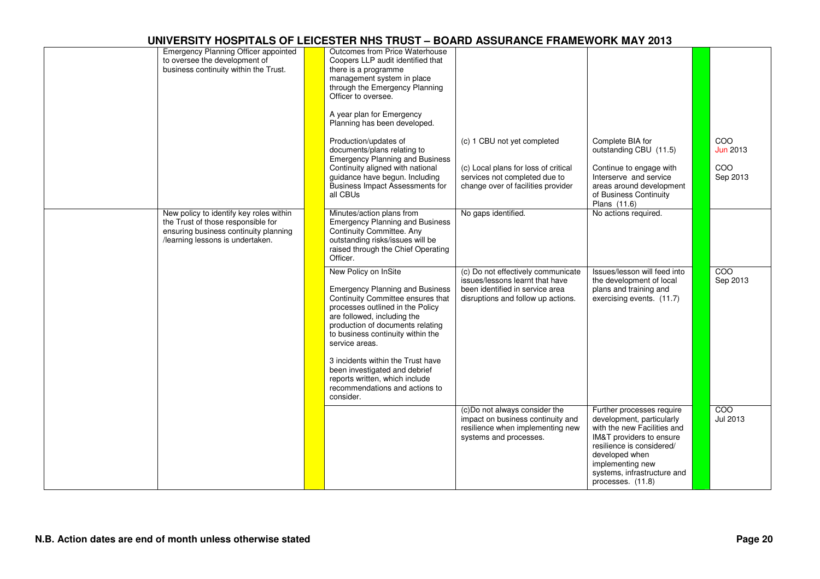| Emergency Planning Officer appointed<br>to oversee the development of<br>business continuity within the Trust.                                             | Outcomes from Price Waterhouse<br>Coopers LLP audit identified that<br>there is a programme<br>management system in place<br>through the Emergency Planning<br>Officer to oversee.<br>A year plan for Emergency<br>Planning has been developed.                   |                                                                                                                                                |                                                                                                                                                                                                                                          |                                           |
|------------------------------------------------------------------------------------------------------------------------------------------------------------|-------------------------------------------------------------------------------------------------------------------------------------------------------------------------------------------------------------------------------------------------------------------|------------------------------------------------------------------------------------------------------------------------------------------------|------------------------------------------------------------------------------------------------------------------------------------------------------------------------------------------------------------------------------------------|-------------------------------------------|
|                                                                                                                                                            | Production/updates of<br>documents/plans relating to<br><b>Emergency Planning and Business</b><br>Continuity aligned with national<br>guidance have begun. Including<br>Business Impact Assessments for<br>all CBUs                                               | (c) 1 CBU not yet completed<br>(c) Local plans for loss of critical<br>services not completed due to<br>change over of facilities provider     | Complete BIA for<br>outstanding CBU (11.5)<br>Continue to engage with<br>Interserve and service<br>areas around development<br>of Business Continuity<br>Plans (11.6)                                                                    | COO<br><b>Jun 2013</b><br>COO<br>Sep 2013 |
| New policy to identify key roles within<br>the Trust of those responsible for<br>ensuring business continuity planning<br>/learning lessons is undertaken. | Minutes/action plans from<br><b>Emergency Planning and Business</b><br>Continuity Committee. Any<br>outstanding risks/issues will be<br>raised through the Chief Operating<br>Officer.                                                                            | No gaps identified.                                                                                                                            | No actions required.                                                                                                                                                                                                                     |                                           |
|                                                                                                                                                            | New Policy on InSite<br><b>Emergency Planning and Business</b><br>Continuity Committee ensures that<br>processes outlined in the Policy<br>are followed, including the<br>production of documents relating<br>to business continuity within the<br>service areas. | (c) Do not effectively communicate<br>issues/lessons learnt that have<br>been identified in service area<br>disruptions and follow up actions. | Issues/lesson will feed into<br>the development of local<br>plans and training and<br>exercising events. (11.7)                                                                                                                          | $\overline{COO}$<br>Sep 2013              |
|                                                                                                                                                            | 3 incidents within the Trust have<br>been investigated and debrief<br>reports written, which include<br>recommendations and actions to<br>consider.                                                                                                               |                                                                                                                                                |                                                                                                                                                                                                                                          |                                           |
|                                                                                                                                                            |                                                                                                                                                                                                                                                                   | (c)Do not always consider the<br>impact on business continuity and<br>resilience when implementing new<br>systems and processes.               | Further processes require<br>development, particularly<br>with the new Facilities and<br>IM&T providers to ensure<br>resilience is considered/<br>developed when<br>implementing new<br>systems, infrastructure and<br>processes. (11.8) | $\overline{COO}$<br>Jul 2013              |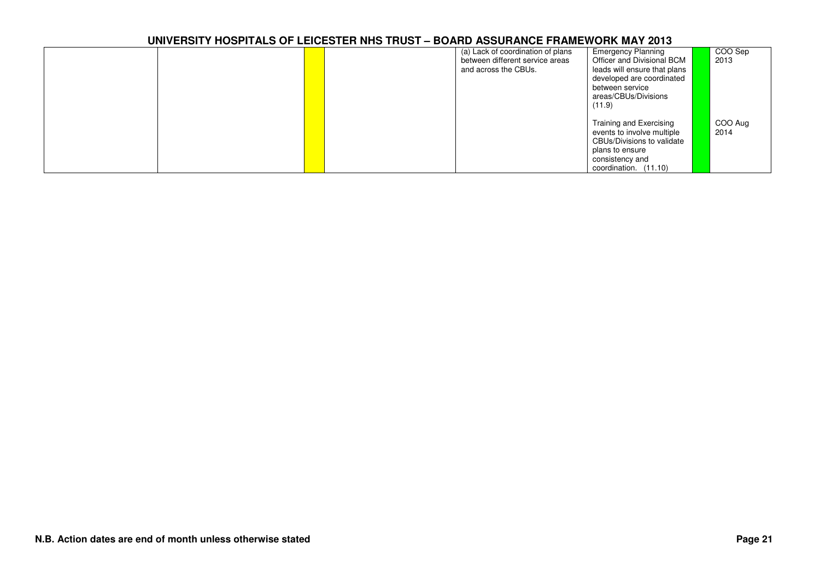|  |  | (a) Lack of coordination of plans<br>between different service areas<br>and across the CBUs. | <b>Emergency Planning</b><br>Officer and Divisional BCM<br>leads will ensure that plans<br>developed are coordinated<br>between service<br>areas/CBUs/Divisions<br>(11.9) | COO Sep<br>2013 |
|--|--|----------------------------------------------------------------------------------------------|---------------------------------------------------------------------------------------------------------------------------------------------------------------------------|-----------------|
|  |  |                                                                                              | Training and Exercising<br>events to involve multiple<br>CBUs/Divisions to validate<br>plans to ensure<br>consistency and<br>coordination. (11.10)                        | COO Aug<br>2014 |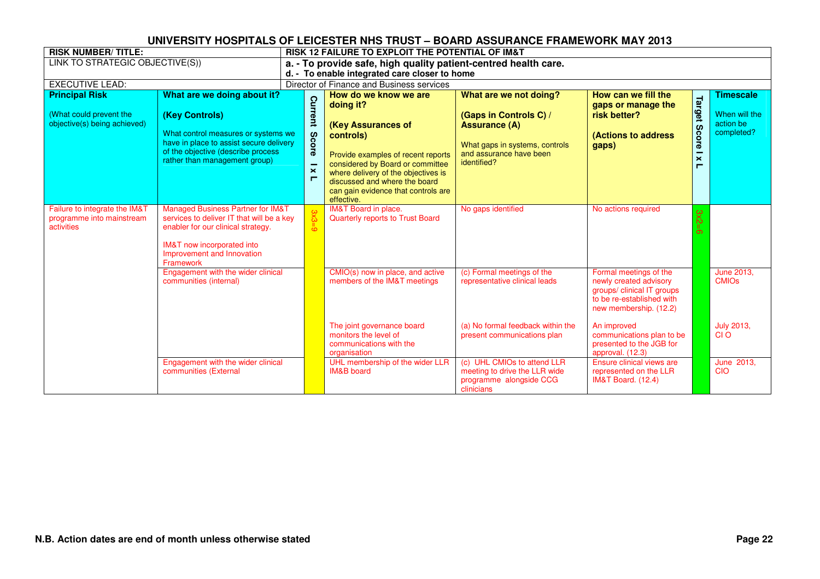| <b>RISK NUMBER/TITLE:</b>                                                        |                                                                                                                                                                                                          |  | <b>RISK 12 FAILURE TO EXPLOIT THE POTENTIAL OF IM&amp;T</b> |                                                                                                                                                                                                                                                                              |                                                                                                                                                      |                                                                                                                                       |                                          |                                                              |  |  |  |
|----------------------------------------------------------------------------------|----------------------------------------------------------------------------------------------------------------------------------------------------------------------------------------------------------|--|-------------------------------------------------------------|------------------------------------------------------------------------------------------------------------------------------------------------------------------------------------------------------------------------------------------------------------------------------|------------------------------------------------------------------------------------------------------------------------------------------------------|---------------------------------------------------------------------------------------------------------------------------------------|------------------------------------------|--------------------------------------------------------------|--|--|--|
| LINK TO STRATEGIC OBJECTIVE(S))                                                  |                                                                                                                                                                                                          |  |                                                             | a. - To provide safe, high quality patient-centred health care.                                                                                                                                                                                                              |                                                                                                                                                      |                                                                                                                                       |                                          |                                                              |  |  |  |
|                                                                                  |                                                                                                                                                                                                          |  |                                                             | d. - To enable integrated care closer to home                                                                                                                                                                                                                                |                                                                                                                                                      |                                                                                                                                       |                                          |                                                              |  |  |  |
| <b>EXECUTIVE LEAD:</b>                                                           |                                                                                                                                                                                                          |  |                                                             | Director of Finance and Business services                                                                                                                                                                                                                                    |                                                                                                                                                      |                                                                                                                                       |                                          |                                                              |  |  |  |
| <b>Principal Risk</b><br>(What could prevent the<br>objective(s) being achieved) | What are we doing about it?<br>(Key Controls)<br>What control measures or systems we<br>have in place to assist secure delivery<br>of the objective (describe process<br>rather than management group)   |  | Current<br>8c<br>ore<br>$\mathbf{\mathsf{x}}$<br>п          | How do we know we are<br>doing it?<br>(Key Assurances of<br>controls)<br>Provide examples of recent reports<br>considered by Board or committee<br>where delivery of the objectives is<br>discussed and where the board<br>can gain evidence that controls are<br>effective. | What are we not doing?<br>(Gaps in Controls C) /<br><b>Assurance (A)</b><br>What gaps in systems, controls<br>and assurance have been<br>identified? | How can we fill the<br>gaps or manage the<br>risk better?<br><b>(Actions to address</b><br>gaps)                                      | Target<br>Score<br>$\boldsymbol{\times}$ | <b>Timescale</b><br>When will the<br>action be<br>completed? |  |  |  |
| Failure to integrate the IM&T<br>programme into mainstream<br>activities         | <b>Managed Business Partner for IM&amp;T</b><br>services to deliver IT that will be a key<br>enabler for our clinical strategy.<br>IM&T now incorporated into<br>Improvement and Innovation<br>Framework |  |                                                             | <b>IM&amp;T Board in place.</b><br><b>Quarterly reports to Trust Board</b>                                                                                                                                                                                                   | No gaps identified                                                                                                                                   | No actions required                                                                                                                   | $3x2 =$                                  |                                                              |  |  |  |
|                                                                                  | Engagement with the wider clinical<br>communities (internal)                                                                                                                                             |  |                                                             | CMIO(s) now in place, and active<br>members of the IM&T meetings                                                                                                                                                                                                             | (c) Formal meetings of the<br>representative clinical leads                                                                                          | Formal meetings of the<br>newly created advisory<br>groups/ clinical IT groups<br>to be re-established with<br>new membership. (12.2) |                                          | June 2013,<br><b>CMIOs</b>                                   |  |  |  |
|                                                                                  |                                                                                                                                                                                                          |  |                                                             | The joint governance board<br>monitors the level of<br>communications with the<br>organisation                                                                                                                                                                               | (a) No formal feedback within the<br>present communications plan                                                                                     | An improved<br>communications plan to be<br>presented to the JGB for<br>approval. (12.3)                                              |                                          | <b>July 2013,</b><br>CI O                                    |  |  |  |
|                                                                                  | Engagement with the wider clinical<br>communities (External                                                                                                                                              |  |                                                             | UHL membership of the wider LLR<br><b>IM&amp;B</b> board                                                                                                                                                                                                                     | (c) UHL CMIOs to attend LLR<br>meeting to drive the LLR wide<br>programme alongside CCG<br>clinicians                                                | Ensure clinical views are<br>represented on the LLR<br><b>IM&amp;T Board.</b> (12.4)                                                  |                                          | June 2013.<br><b>CIO</b>                                     |  |  |  |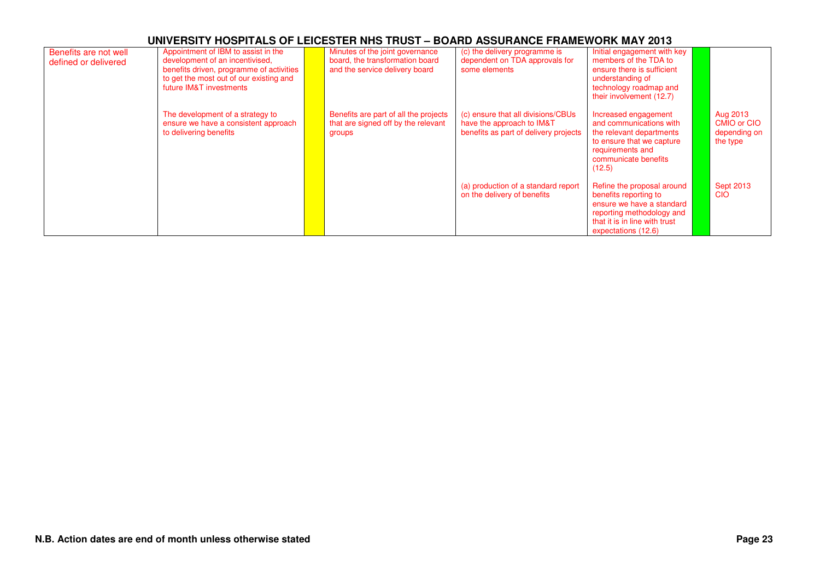| Benefits are not well<br>defined or delivered | Appointment of IBM to assist in the<br>development of an incentivised,<br>benefits driven, programme of activities<br>to get the most out of our existing and<br>future IM&T investments | Minutes of the joint governance<br>board, the transformation board<br>and the service delivery board | (c) the delivery programme is<br>dependent on TDA approvals for<br>some elements                         | Initial engagement with key<br>members of the TDA to<br>ensure there is sufficient<br>understanding of<br>technology roadmap and<br>their involvement (12.7)          |                                                            |
|-----------------------------------------------|------------------------------------------------------------------------------------------------------------------------------------------------------------------------------------------|------------------------------------------------------------------------------------------------------|----------------------------------------------------------------------------------------------------------|-----------------------------------------------------------------------------------------------------------------------------------------------------------------------|------------------------------------------------------------|
|                                               | The development of a strategy to<br>ensure we have a consistent approach<br>to delivering benefits                                                                                       | Benefits are part of all the projects<br>that are signed off by the relevant<br>groups               | (c) ensure that all divisions/CBUs<br>have the approach to IM&T<br>benefits as part of delivery projects | Increased engagement<br>and communications with<br>the relevant departments<br>to ensure that we capture<br>requirements and<br>communicate benefits<br>(12.5)        | Aug 2013<br><b>CMIO or CIO</b><br>depending on<br>the type |
|                                               |                                                                                                                                                                                          |                                                                                                      | (a) production of a standard report<br>on the delivery of benefits                                       | Refine the proposal around<br>benefits reporting to<br>ensure we have a standard<br>reporting methodology and<br>that it is in line with trust<br>expectations (12.6) | <b>Sept 2013</b><br><b>CIO</b>                             |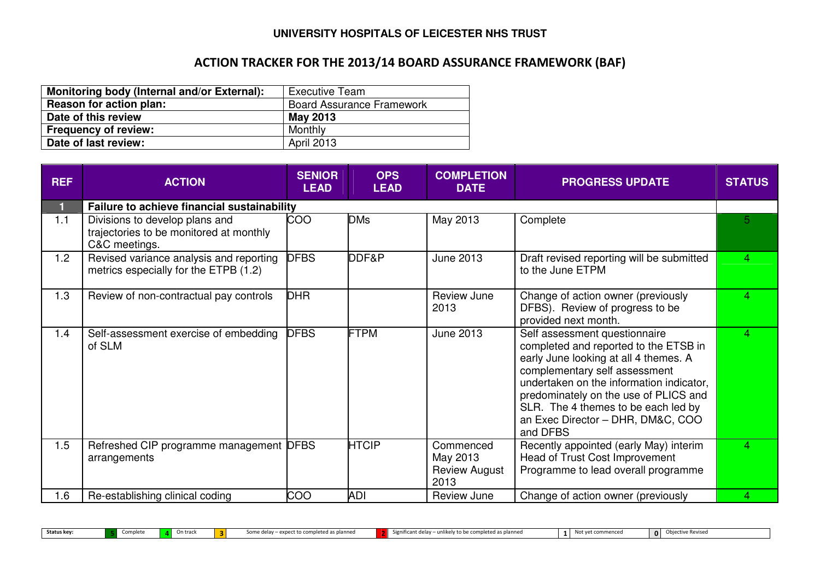# ACTION TRACKER FOR THE 2013/14 BOARD ASSURANCE FRAMEWORK (BAF)

| Monitoring body (Internal and/or External): | <b>Executive Team</b>            |
|---------------------------------------------|----------------------------------|
| Reason for action plan:                     | <b>Board Assurance Framework</b> |
| Date of this review                         | <b>May 2013</b>                  |
| <b>Frequency of review:</b>                 | Monthly                          |
| Date of last review:                        | <b>April 2013</b>                |

| <b>REF</b> | <b>ACTION</b>                                                                              | <b>SENIOR</b><br><b>LEAD</b> | <b>OPS</b><br><b>LEAD</b> | <b>COMPLETION</b><br><b>DATE</b>                      | <b>PROGRESS UPDATE</b>                                                                                                                                                                                                                                                                                                        | <b>STATUS</b> |
|------------|--------------------------------------------------------------------------------------------|------------------------------|---------------------------|-------------------------------------------------------|-------------------------------------------------------------------------------------------------------------------------------------------------------------------------------------------------------------------------------------------------------------------------------------------------------------------------------|---------------|
|            | Failure to achieve financial sustainability                                                |                              |                           |                                                       |                                                                                                                                                                                                                                                                                                                               |               |
| 1.1        | Divisions to develop plans and<br>trajectories to be monitored at monthly<br>C&C meetings. | COO                          | <b>DMs</b>                | May 2013                                              | Complete                                                                                                                                                                                                                                                                                                                      | 5.            |
| 1.2        | Revised variance analysis and reporting<br>metrics especially for the ETPB (1.2)           | <b>DFBS</b>                  | DDF&P                     | June 2013                                             | Draft revised reporting will be submitted<br>to the June ETPM                                                                                                                                                                                                                                                                 | 4             |
| 1.3        | Review of non-contractual pay controls                                                     | <b>DHR</b>                   |                           | Review June<br>2013                                   | Change of action owner (previously<br>DFBS). Review of progress to be<br>provided next month.                                                                                                                                                                                                                                 | 4             |
| 1.4        | Self-assessment exercise of embedding<br>of SLM                                            | <b>DFBS</b>                  | <b>FTPM</b>               | <b>June 2013</b>                                      | Self assessment questionnaire<br>completed and reported to the ETSB in<br>early June looking at all 4 themes. A<br>complementary self assessment<br>undertaken on the information indicator,<br>predominately on the use of PLICS and<br>SLR. The 4 themes to be each led by<br>an Exec Director - DHR, DM&C, COO<br>and DFBS | 4             |
| 1.5        | Refreshed CIP programme management DFBS<br>arrangements                                    |                              | <b>HTCIP</b>              | Commenced<br>May 2013<br><b>Review August</b><br>2013 | Recently appointed (early May) interim<br>Head of Trust Cost Improvement<br>Programme to lead overall programme                                                                                                                                                                                                               | 4             |
| 1.6        | Re-establishing clinical coding                                                            | COO                          | <b>ADI</b>                | Review June                                           | Change of action owner (previously                                                                                                                                                                                                                                                                                            | 4             |

Status key: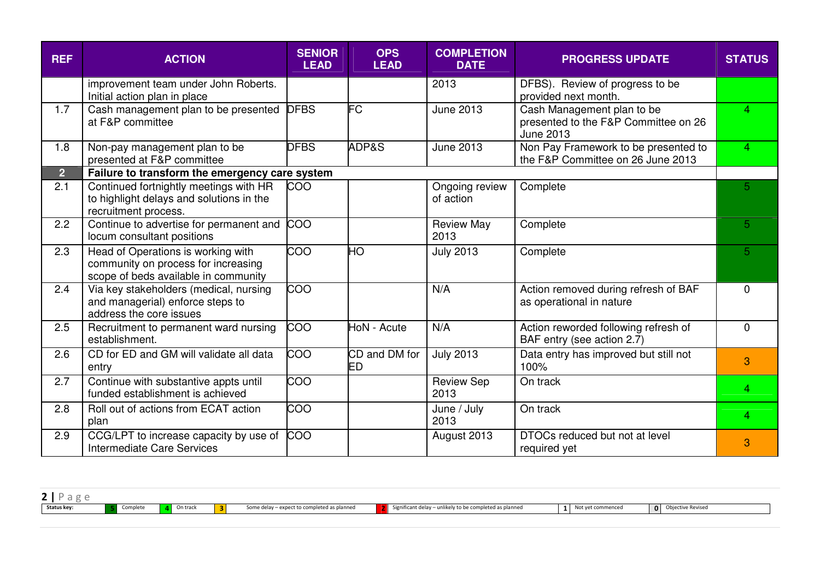| <b>REF</b>     | <b>ACTION</b>                                                                                                     | <b>SENIOR</b><br><b>LEAD</b> | <b>OPS</b><br><b>LEAD</b> | <b>COMPLETION</b><br><b>DATE</b> | <b>PROGRESS UPDATE</b>                                                                 | <b>STATUS</b>  |
|----------------|-------------------------------------------------------------------------------------------------------------------|------------------------------|---------------------------|----------------------------------|----------------------------------------------------------------------------------------|----------------|
|                | improvement team under John Roberts.<br>Initial action plan in place                                              |                              |                           | 2013                             | DFBS). Review of progress to be<br>provided next month.                                |                |
| 1.7            | Cash management plan to be presented<br>at F&P committee                                                          | <b>DFBS</b>                  | FC                        | <b>June 2013</b>                 | Cash Management plan to be<br>presented to the F&P Committee on 26<br><b>June 2013</b> | $\overline{4}$ |
| 1.8            | Non-pay management plan to be<br>presented at F&P committee                                                       | <b>DFBS</b>                  | ADP&S                     | June 2013                        | Non Pay Framework to be presented to<br>the F&P Committee on 26 June 2013              | 4              |
| $\overline{2}$ | Failure to transform the emergency care system                                                                    |                              |                           |                                  |                                                                                        |                |
| 2.1            | Continued fortnightly meetings with HR<br>to highlight delays and solutions in the<br>recruitment process.        | <b>COO</b>                   |                           | Ongoing review<br>of action      | Complete                                                                               | 5              |
| 2.2            | Continue to advertise for permanent and<br>locum consultant positions                                             | <b>COO</b>                   |                           | <b>Review May</b><br>2013        | Complete                                                                               | 5              |
| 2.3            | Head of Operations is working with<br>community on process for increasing<br>scope of beds available in community | <b>COO</b>                   | HO                        | <b>July 2013</b>                 | Complete                                                                               | 5 <sup>1</sup> |
| 2.4            | Via key stakeholders (medical, nursing<br>and managerial) enforce steps to<br>address the core issues             | $\overline{0}$               |                           | N/A                              | Action removed during refresh of BAF<br>as operational in nature                       | $\Omega$       |
| 2.5            | Recruitment to permanent ward nursing<br>establishment.                                                           | <b>COO</b>                   | HoN - Acute               | N/A                              | Action reworded following refresh of<br>BAF entry (see action 2.7)                     | $\overline{0}$ |
| 2.6            | CD for ED and GM will validate all data<br>entry                                                                  | <b>COO</b>                   | CD and DM for<br>ED       | <b>July 2013</b>                 | Data entry has improved but still not<br>100%                                          | 3              |
| 2.7            | Continue with substantive appts until<br>funded establishment is achieved                                         | $\overline{0}$               |                           | <b>Review Sep</b><br>2013        | On track                                                                               | 4              |
| 2.8            | Roll out of actions from ECAT action<br>plan                                                                      | COO                          |                           | June / July<br>2013              | On track                                                                               | 4              |
| 2.9            | CCG/LPT to increase capacity by use of<br>Intermediate Care Services                                              | COO                          |                           | August 2013                      | DTOCs reduced but not at level<br>required yet                                         | 3              |

| Ø<br>$\sim$ |          |          |        |                                                |                                                           |               |                                            |  |
|-------------|----------|----------|--------|------------------------------------------------|-----------------------------------------------------------|---------------|--------------------------------------------|--|
| Status key: | Complete | On track | $\sim$ | - expect to completed as planned<br>some delay | Significant delay $-$ unlikely to be completed as planned | vet commenced | tive Revised<br><b>Ohiorti</b><br>$\Omega$ |  |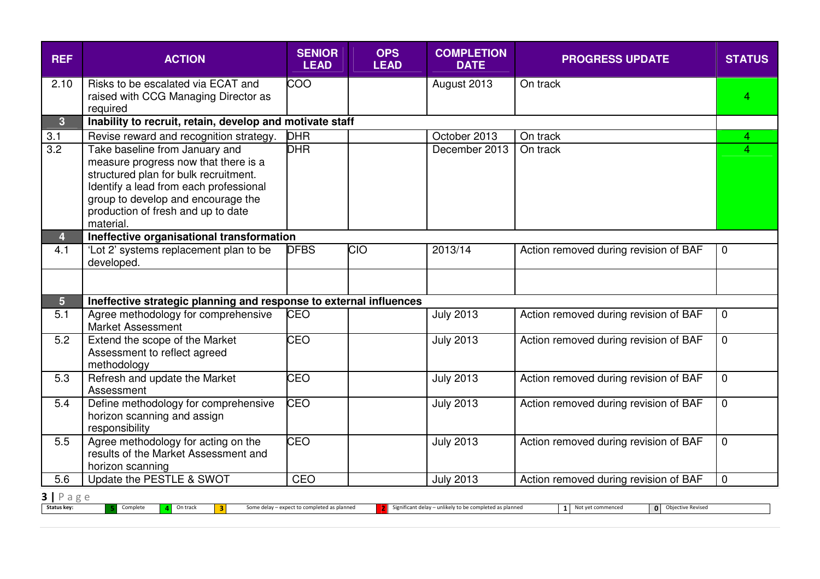| <b>REF</b>                        | <b>ACTION</b>                                                                                                                                                                                                                                      | <b>SENIOR</b><br><b>LEAD</b>                | <b>OPS</b><br><b>LEAD</b> | <b>COMPLETION</b><br><b>DATE</b>                        | <b>PROGRESS UPDATE</b>                     | <b>STATUS</b>  |  |  |  |  |  |  |  |
|-----------------------------------|----------------------------------------------------------------------------------------------------------------------------------------------------------------------------------------------------------------------------------------------------|---------------------------------------------|---------------------------|---------------------------------------------------------|--------------------------------------------|----------------|--|--|--|--|--|--|--|
| 2.10                              | Risks to be escalated via ECAT and<br>raised with CCG Managing Director as<br>required                                                                                                                                                             | COO                                         |                           | August 2013                                             | On track                                   | 4              |  |  |  |  |  |  |  |
| $\overline{3}$                    | Inability to recruit, retain, develop and motivate staff                                                                                                                                                                                           |                                             |                           |                                                         |                                            |                |  |  |  |  |  |  |  |
| 3.1                               | Revise reward and recognition strategy.                                                                                                                                                                                                            | <b>DHR</b>                                  |                           | October 2013                                            | On track                                   | 4              |  |  |  |  |  |  |  |
| $\overline{3.2}$                  | Take baseline from January and<br>measure progress now that there is a<br>structured plan for bulk recruitment.<br>Identify a lead from each professional<br>group to develop and encourage the<br>production of fresh and up to date<br>material. | <b>DHR</b>                                  |                           | December 2013                                           | On track                                   | 4              |  |  |  |  |  |  |  |
| $\overline{\mathbf{4}}$           | Ineffective organisational transformation                                                                                                                                                                                                          |                                             |                           |                                                         |                                            |                |  |  |  |  |  |  |  |
| 4.1                               | 'Lot 2' systems replacement plan to be<br>developed.                                                                                                                                                                                               | <b>DFBS</b>                                 | <u>ОЮ</u>                 | 2013/14                                                 | Action removed during revision of BAF      | $\mathbf 0$    |  |  |  |  |  |  |  |
|                                   |                                                                                                                                                                                                                                                    |                                             |                           |                                                         |                                            |                |  |  |  |  |  |  |  |
| 5 <sup>5</sup>                    | Ineffective strategic planning and response to external influences                                                                                                                                                                                 |                                             |                           |                                                         |                                            |                |  |  |  |  |  |  |  |
| 5.1                               | Agree methodology for comprehensive<br><b>Market Assessment</b>                                                                                                                                                                                    | <b>CEO</b>                                  |                           | <b>July 2013</b>                                        | Action removed during revision of BAF      | $\mathbf 0$    |  |  |  |  |  |  |  |
| 5.2                               | Extend the scope of the Market<br>Assessment to reflect agreed<br>methodology                                                                                                                                                                      | CEO                                         |                           | <b>July 2013</b>                                        | Action removed during revision of BAF      | $\Omega$       |  |  |  |  |  |  |  |
| 5.3                               | Refresh and update the Market<br>Assessment                                                                                                                                                                                                        | CEO                                         |                           | <b>July 2013</b>                                        | Action removed during revision of BAF      | $\Omega$       |  |  |  |  |  |  |  |
| 5.4                               | Define methodology for comprehensive<br>horizon scanning and assign<br>responsibility                                                                                                                                                              | <b>CEO</b>                                  |                           | <b>July 2013</b>                                        | Action removed during revision of BAF      | $\overline{0}$ |  |  |  |  |  |  |  |
| 5.5                               | Agree methodology for acting on the<br>results of the Market Assessment and<br>horizon scanning                                                                                                                                                    | CEO                                         |                           | <b>July 2013</b>                                        | Action removed during revision of BAF      | $\overline{0}$ |  |  |  |  |  |  |  |
| 5.6                               | Update the PESTLE & SWOT                                                                                                                                                                                                                           | CEO                                         |                           | <b>July 2013</b>                                        | Action removed during revision of BAF      | $\overline{0}$ |  |  |  |  |  |  |  |
| $3   P \text{age}$<br>Status key: | Complete<br>On track<br> 3                                                                                                                                                                                                                         | Some delay - expect to completed as planned |                           | Significant delay - unlikely to be completed as planned | 1 Not yet commenced<br>O Objective Revised |                |  |  |  |  |  |  |  |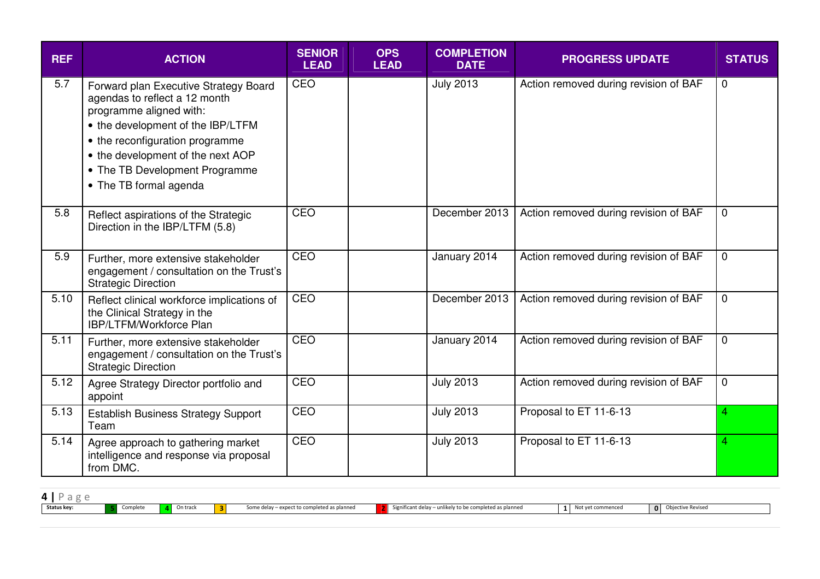| <b>REF</b> | <b>ACTION</b>                                                                                                                                                                                                                                                              | <b>SENIOR</b><br><b>LEAD</b> | <b>OPS</b><br><b>LEAD</b> | <b>COMPLETION</b><br><b>DATE</b> | <b>PROGRESS UPDATE</b>                | <b>STATUS</b>  |
|------------|----------------------------------------------------------------------------------------------------------------------------------------------------------------------------------------------------------------------------------------------------------------------------|------------------------------|---------------------------|----------------------------------|---------------------------------------|----------------|
| 5.7        | Forward plan Executive Strategy Board<br>agendas to reflect a 12 month<br>programme aligned with:<br>• the development of the IBP/LTFM<br>• the reconfiguration programme<br>• the development of the next AOP<br>• The TB Development Programme<br>• The TB formal agenda | CEO                          |                           | <b>July 2013</b>                 | Action removed during revision of BAF | $\overline{0}$ |
| 5.8        | Reflect aspirations of the Strategic<br>Direction in the IBP/LTFM (5.8)                                                                                                                                                                                                    | CEO                          |                           | December 2013                    | Action removed during revision of BAF | $\overline{0}$ |
| 5.9        | Further, more extensive stakeholder<br>engagement / consultation on the Trust's<br><b>Strategic Direction</b>                                                                                                                                                              | CEO                          |                           | January 2014                     | Action removed during revision of BAF | $\mathbf 0$    |
| 5.10       | Reflect clinical workforce implications of<br>the Clinical Strategy in the<br>IBP/LTFM/Workforce Plan                                                                                                                                                                      | CEO                          |                           | December 2013                    | Action removed during revision of BAF | $\mathbf 0$    |
| 5.11       | Further, more extensive stakeholder<br>engagement / consultation on the Trust's<br><b>Strategic Direction</b>                                                                                                                                                              | CEO                          |                           | January 2014                     | Action removed during revision of BAF | $\Omega$       |
| 5.12       | Agree Strategy Director portfolio and<br>appoint                                                                                                                                                                                                                           | CEO                          |                           | <b>July 2013</b>                 | Action removed during revision of BAF | $\mathbf 0$    |
| 5.13       | <b>Establish Business Strategy Support</b><br>Team                                                                                                                                                                                                                         | CEO                          |                           | <b>July 2013</b>                 | Proposal to ET 11-6-13                | 4              |
| 5.14       | Agree approach to gathering market<br>intelligence and response via proposal<br>from DMC.                                                                                                                                                                                  | CEO                          |                           | <b>July 2013</b>                 | Proposal to ET 11-6-13                | 4              |

| $\bf{u}$<br>-- |          |          |                      |                                                                   |                                                                |                  |                                |  |
|----------------|----------|----------|----------------------|-------------------------------------------------------------------|----------------------------------------------------------------|------------------|--------------------------------|--|
| Status key:    | Complete | On track | $\sim$<br>. .<br>. . | expect to completed as planned<br>Some dela <sup>.</sup><br>delay | likely to be completed as planned<br>Significant delay – unlik | ot yet commenced | $\mathbf{0}$<br><b>REVISEL</b> |  |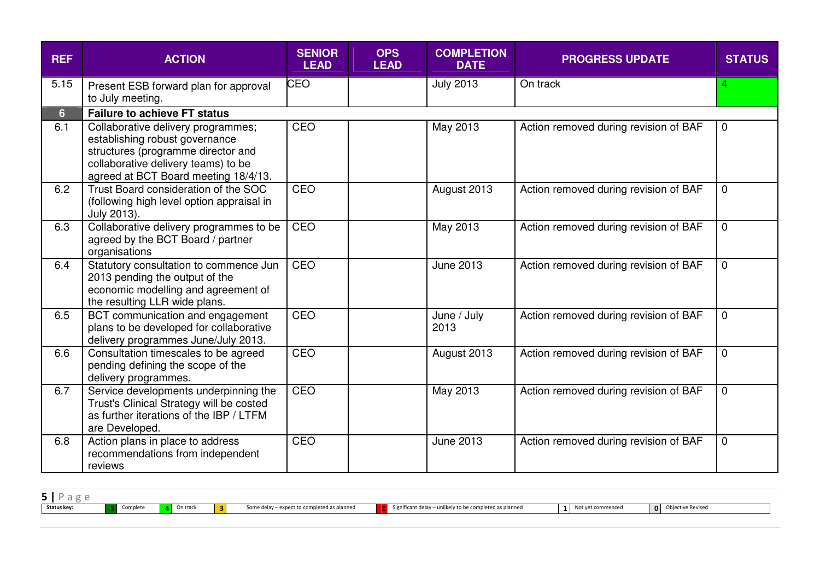| <b>REF</b>     | <b>ACTION</b>                                                                                                                                                                             | <b>SENIOR</b><br><b>LEAD</b> | <b>OPS</b><br><b>LEAD</b> | <b>COMPLETION</b><br><b>DATE</b> | <b>PROGRESS UPDATE</b>                | <b>STATUS</b>  |
|----------------|-------------------------------------------------------------------------------------------------------------------------------------------------------------------------------------------|------------------------------|---------------------------|----------------------------------|---------------------------------------|----------------|
| 5.15           | Present ESB forward plan for approval<br>to July meeting.                                                                                                                                 | <b>CEO</b>                   |                           | <b>July 2013</b>                 | On track                              | 4              |
| 6 <sup>1</sup> | <b>Failure to achieve FT status</b>                                                                                                                                                       |                              |                           |                                  |                                       |                |
| 6.1            | Collaborative delivery programmes;<br>establishing robust governance<br>structures (programme director and<br>collaborative delivery teams) to be<br>agreed at BCT Board meeting 18/4/13. | CEO                          |                           | May 2013                         | Action removed during revision of BAF | $\mathbf 0$    |
| 6.2            | Trust Board consideration of the SOC<br>(following high level option appraisal in<br>July 2013).                                                                                          | CEO                          |                           | August 2013                      | Action removed during revision of BAF | $\overline{0}$ |
| 6.3            | Collaborative delivery programmes to be<br>agreed by the BCT Board / partner<br>organisations                                                                                             | CEO                          |                           | May 2013                         | Action removed during revision of BAF | $\mathbf 0$    |
| 6.4            | Statutory consultation to commence Jun<br>2013 pending the output of the<br>economic modelling and agreement of<br>the resulting LLR wide plans.                                          | CEO                          |                           | June 2013                        | Action removed during revision of BAF | $\mathbf 0$    |
| 6.5            | BCT communication and engagement<br>plans to be developed for collaborative<br>delivery programmes June/July 2013.                                                                        | CEO                          |                           | June / July<br>2013              | Action removed during revision of BAF | $\overline{0}$ |
| 6.6            | Consultation timescales to be agreed<br>pending defining the scope of the<br>delivery programmes.                                                                                         | CEO                          |                           | August 2013                      | Action removed during revision of BAF | $\mathbf 0$    |
| 6.7            | Service developments underpinning the<br>Trust's Clinical Strategy will be costed<br>as further iterations of the IBP / LTFM<br>are Developed.                                            | CEO                          |                           | May 2013                         | Action removed during revision of BAF | $\overline{0}$ |
| 6.8            | Action plans in place to address<br>recommendations from independent<br>reviews                                                                                                           | CEO                          |                           | June 2013                        | Action removed during revision of BAF | $\mathbf 0$    |

| аσρ         |          |          |                                             |                                                         |                   |                          |  |
|-------------|----------|----------|---------------------------------------------|---------------------------------------------------------|-------------------|--------------------------|--|
| Status key: | Complete | On track | Some delay - expect to completed as planned | Significant delay – unlikely to be completed as planned | Not yet commenced | <b>Objective Revised</b> |  |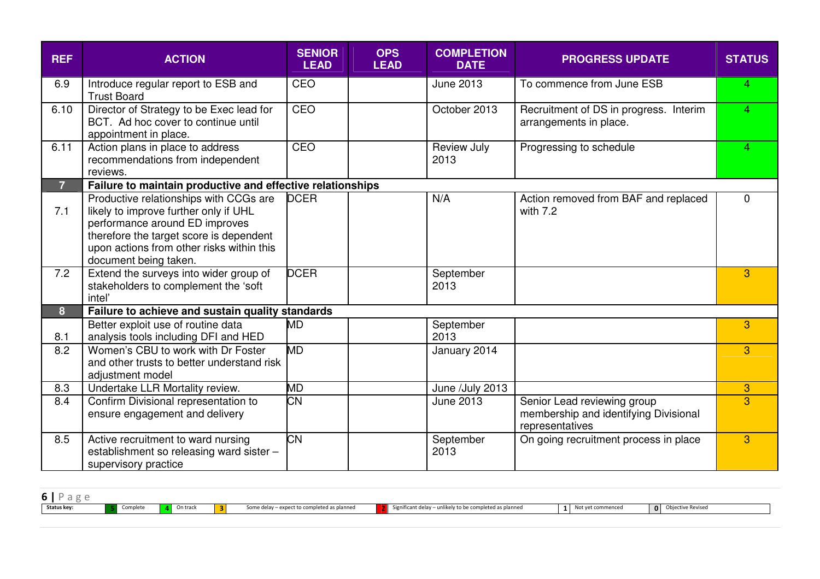| <b>REF</b>     | <b>ACTION</b>                                                                                                                                                                                                                      | <b>SENIOR</b><br><b>LEAD</b> | <b>OPS</b><br><b>LEAD</b> | <b>COMPLETION</b><br><b>DATE</b> | <b>PROGRESS UPDATE</b>                                                                  | <b>STATUS</b> |
|----------------|------------------------------------------------------------------------------------------------------------------------------------------------------------------------------------------------------------------------------------|------------------------------|---------------------------|----------------------------------|-----------------------------------------------------------------------------------------|---------------|
| 6.9            | Introduce regular report to ESB and<br><b>Trust Board</b>                                                                                                                                                                          | CEO                          |                           | <b>June 2013</b>                 | To commence from June ESB                                                               | 4             |
| 6.10           | Director of Strategy to be Exec lead for<br>BCT. Ad hoc cover to continue until<br>appointment in place.                                                                                                                           | CEO                          |                           | October 2013                     | Recruitment of DS in progress. Interim<br>arrangements in place.                        | 4             |
| 6.11           | Action plans in place to address<br>recommendations from independent<br>reviews.                                                                                                                                                   | CEO                          |                           | Review July<br>2013              | Progressing to schedule                                                                 | 4             |
| $\overline{7}$ | Failure to maintain productive and effective relationships                                                                                                                                                                         |                              |                           |                                  |                                                                                         |               |
| 7.1            | Productive relationships with CCGs are<br>likely to improve further only if UHL<br>performance around ED improves<br>therefore the target score is dependent<br>upon actions from other risks within this<br>document being taken. | <b>DCER</b>                  |                           | N/A                              | Action removed from BAF and replaced<br>with 7.2                                        | $\mathbf{0}$  |
| 7.2            | Extend the surveys into wider group of<br>stakeholders to complement the 'soft<br>intel'                                                                                                                                           | <b>DCER</b>                  |                           | September<br>2013                |                                                                                         | 3             |
| 8              | Failure to achieve and sustain quality standards                                                                                                                                                                                   |                              |                           |                                  |                                                                                         |               |
| 8.1            | Better exploit use of routine data<br>analysis tools including DFI and HED                                                                                                                                                         | <b>MD</b>                    |                           | September<br>2013                |                                                                                         | 3             |
| 8.2            | Women's CBU to work with Dr Foster<br>and other trusts to better understand risk<br>adjustment model                                                                                                                               | <b>MD</b>                    |                           | January 2014                     |                                                                                         | 3             |
| 8.3            | Undertake LLR Mortality review.                                                                                                                                                                                                    | МD                           |                           | June /July 2013                  |                                                                                         | 3             |
| 8.4            | Confirm Divisional representation to<br>ensure engagement and delivery                                                                                                                                                             | СN                           |                           | <b>June 2013</b>                 | Senior Lead reviewing group<br>membership and identifying Divisional<br>representatives | 3             |
| 8.5            | Active recruitment to ward nursing<br>establishment so releasing ward sister -<br>supervisory practice                                                                                                                             | <b>CN</b>                    |                           | September<br>2013                | On going recruitment process in place                                                   | 3             |

| Status key: | Complete | On track | в. | Some delay - expect to completed as planned | Significant delay – unlikely to be completed as planned | Not yet commenced | <b>0</b> Objective Revised |
|-------------|----------|----------|----|---------------------------------------------|---------------------------------------------------------|-------------------|----------------------------|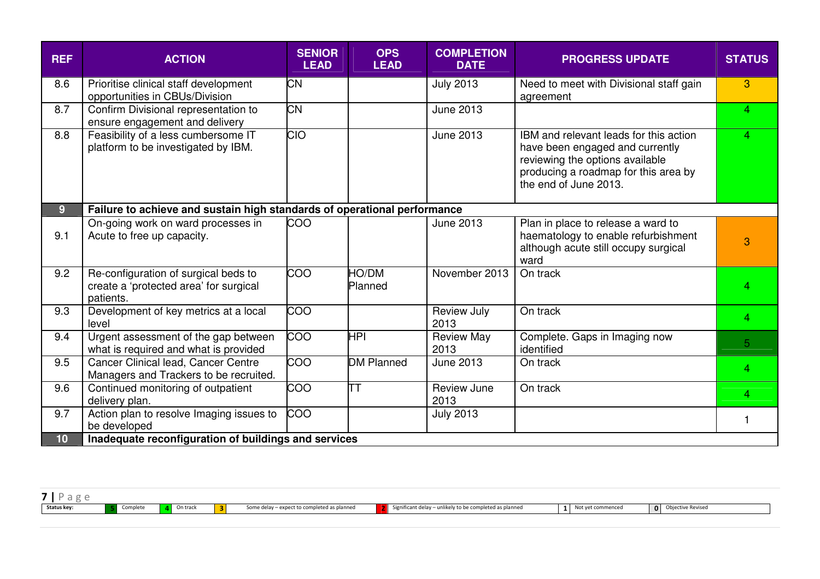| <b>REF</b>     | <b>ACTION</b>                                                                               | <b>SENIOR</b><br><b>LEAD</b> | <b>OPS</b><br><b>LEAD</b> | <b>COMPLETION</b><br><b>DATE</b> | <b>PROGRESS UPDATE</b>                                                                                                                                                        | <b>STATUS</b> |
|----------------|---------------------------------------------------------------------------------------------|------------------------------|---------------------------|----------------------------------|-------------------------------------------------------------------------------------------------------------------------------------------------------------------------------|---------------|
| 8.6            | Prioritise clinical staff development<br>opportunities in CBUs/Division                     | <b>CN</b>                    |                           | <b>July 2013</b>                 | Need to meet with Divisional staff gain<br>agreement                                                                                                                          | 3             |
| 8.7            | Confirm Divisional representation to<br>ensure engagement and delivery                      | <b>CN</b>                    |                           | June 2013                        |                                                                                                                                                                               | 4             |
| 8.8            | Feasibility of a less cumbersome IT<br>platform to be investigated by IBM.                  | <b>CIO</b>                   |                           | <b>June 2013</b>                 | IBM and relevant leads for this action<br>have been engaged and currently<br>reviewing the options available<br>producing a roadmap for this area by<br>the end of June 2013. | 4             |
| 9 <sup>°</sup> | Failure to achieve and sustain high standards of operational performance                    |                              |                           |                                  |                                                                                                                                                                               |               |
| 9.1            | On-going work on ward processes in<br>Acute to free up capacity.                            | COO                          |                           | <b>June 2013</b>                 | Plan in place to release a ward to<br>haematology to enable refurbishment<br>although acute still occupy surgical<br>ward                                                     | 3             |
| 9.2            | Re-configuration of surgical beds to<br>create a 'protected area' for surgical<br>patients. | COO                          | HO/DM<br>Planned          | November 2013                    | On track                                                                                                                                                                      | 4             |
| 9.3            | Development of key metrics at a local<br>level                                              | <b>COO</b>                   |                           | Review July<br>2013              | On track                                                                                                                                                                      | 4             |
| 9.4            | Urgent assessment of the gap between<br>what is required and what is provided               | $\overline{COO}$             | <b>HPI</b>                | <b>Review May</b><br>2013        | Complete. Gaps in Imaging now<br>identified                                                                                                                                   | 5             |
| 9.5            | Cancer Clinical lead, Cancer Centre<br>Managers and Trackers to be recruited.               | 00                           | <b>DM Planned</b>         | June 2013                        | On track                                                                                                                                                                      | 4             |
| 9.6            | Continued monitoring of outpatient<br>delivery plan.                                        | $\overline{0}$               | lТT                       | Review June<br>2013              | On track                                                                                                                                                                      | 4             |
| 9.7            | Action plan to resolve Imaging issues to<br>be developed                                    | <b>COO</b>                   |                           | <b>July 2013</b>                 |                                                                                                                                                                               | 1             |
| 10             | Inadequate reconfiguration of buildings and services                                        |                              |                           |                                  |                                                                                                                                                                               |               |

| <b>Status key:</b> | $-1 - 1 -$<br>Complete | On track | - | Some delay – expect to completed as planned | ompleted as planned<br>$\mu$ annikely to be comed<br>Significant delay | mence | e Reviseo<br>'bjective |
|--------------------|------------------------|----------|---|---------------------------------------------|------------------------------------------------------------------------|-------|------------------------|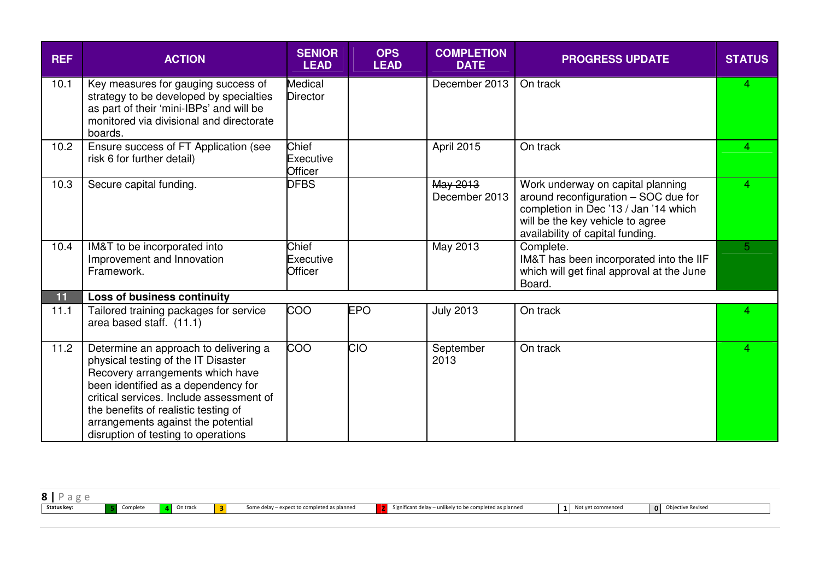| <b>REF</b> | <b>ACTION</b>                                                                                                                                                                                                                                                                                                            | <b>SENIOR</b><br><b>LEAD</b>      | <b>OPS</b><br><b>LEAD</b> | <b>COMPLETION</b><br><b>DATE</b> | <b>PROGRESS UPDATE</b>                                                                                                                                                                     | <b>STATUS</b>  |
|------------|--------------------------------------------------------------------------------------------------------------------------------------------------------------------------------------------------------------------------------------------------------------------------------------------------------------------------|-----------------------------------|---------------------------|----------------------------------|--------------------------------------------------------------------------------------------------------------------------------------------------------------------------------------------|----------------|
| 10.1       | Key measures for gauging success of<br>strategy to be developed by specialties<br>as part of their 'mini-IBPs' and will be<br>monitored via divisional and directorate<br>boards.                                                                                                                                        | <b>Medical</b><br><b>Director</b> |                           | December 2013                    | On track                                                                                                                                                                                   | 4              |
| 10.2       | Ensure success of FT Application (see<br>risk 6 for further detail)                                                                                                                                                                                                                                                      | Chief<br>Executive<br>Officer     |                           | April 2015                       | On track                                                                                                                                                                                   | 4              |
| 10.3       | Secure capital funding.                                                                                                                                                                                                                                                                                                  | <b>DFBS</b>                       |                           | May 2013<br>December 2013        | Work underway on capital planning<br>around reconfiguration - SOC due for<br>completion in Dec '13 / Jan '14 which<br>will be the key vehicle to agree<br>availability of capital funding. | $\overline{4}$ |
| 10.4       | IM&T to be incorporated into<br>Improvement and Innovation<br>Framework.                                                                                                                                                                                                                                                 | Chief<br>Executive<br>Officer     |                           | May 2013                         | Complete.<br>IM&T has been incorporated into the IIF<br>which will get final approval at the June<br>Board.                                                                                | 5              |
| 11         | <b>Loss of business continuity</b>                                                                                                                                                                                                                                                                                       |                                   |                           |                                  |                                                                                                                                                                                            |                |
| 11.1       | Tailored training packages for service<br>area based staff. (11.1)                                                                                                                                                                                                                                                       | <b>COO</b>                        | <b>EPO</b>                | <b>July 2013</b>                 | On track                                                                                                                                                                                   | 4              |
| 11.2       | Determine an approach to delivering a<br>physical testing of the IT Disaster<br>Recovery arrangements which have<br>been identified as a dependency for<br>critical services. Include assessment of<br>the benefits of realistic testing of<br>arrangements against the potential<br>disruption of testing to operations | COO                               | <b>CIO</b>                | September<br>2013                | On track                                                                                                                                                                                   | 4              |

| $\sim$<br>, traci<br>likelv to be<br>es planneur<br>nme.<br>ant del<br><b>sevise</b><br>uelay<br>$\ldots$<br>. |             |  |  |  |              |
|----------------------------------------------------------------------------------------------------------------|-------------|--|--|--|--------------|
|                                                                                                                | Status key: |  |  |  | $\mathbf{0}$ |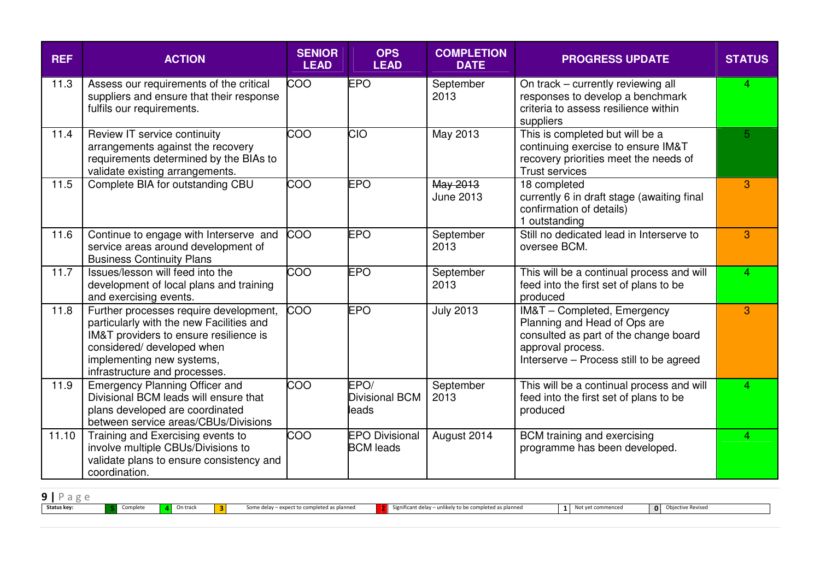| <b>REF</b> | <b>ACTION</b>                                                                                                                                                                                                            | <b>SENIOR</b><br><b>LEAD</b> | <b>OPS</b><br><b>LEAD</b>                 | <b>COMPLETION</b><br><b>DATE</b> | <b>PROGRESS UPDATE</b>                                                                                                                                               | <b>STATUS</b>  |
|------------|--------------------------------------------------------------------------------------------------------------------------------------------------------------------------------------------------------------------------|------------------------------|-------------------------------------------|----------------------------------|----------------------------------------------------------------------------------------------------------------------------------------------------------------------|----------------|
| 11.3       | Assess our requirements of the critical<br>suppliers and ensure that their response<br>fulfils our requirements.                                                                                                         | <b>COO</b>                   | <b>EPO</b>                                | September<br>2013                | On track - currently reviewing all<br>responses to develop a benchmark<br>criteria to assess resilience within<br>suppliers                                          | 4              |
| 11.4       | Review IT service continuity<br>arrangements against the recovery<br>requirements determined by the BIAs to<br>validate existing arrangements.                                                                           | <b>COO</b>                   | <b>CIO</b>                                | May 2013                         | This is completed but will be a<br>continuing exercise to ensure IM&T<br>recovery priorities meet the needs of<br><b>Trust services</b>                              | 5 <sup>5</sup> |
| 11.5       | Complete BIA for outstanding CBU                                                                                                                                                                                         | COO                          | <b>EPO</b>                                | May 2013<br><b>June 2013</b>     | 18 completed<br>currently 6 in draft stage (awaiting final<br>confirmation of details)<br>1 outstanding                                                              | 3              |
| 11.6       | Continue to engage with Interserve and<br>service areas around development of<br><b>Business Continuity Plans</b>                                                                                                        | COO                          | <b>EPO</b>                                | September<br>2013                | Still no dedicated lead in Interserve to<br>oversee BCM.                                                                                                             | 3              |
| 11.7       | Issues/lesson will feed into the<br>development of local plans and training<br>and exercising events.                                                                                                                    | COO                          | <b>EPO</b>                                | September<br>2013                | This will be a continual process and will<br>feed into the first set of plans to be<br>produced                                                                      | 4              |
| 11.8       | Further processes require development,<br>particularly with the new Facilities and<br>IM&T providers to ensure resilience is<br>considered/ developed when<br>implementing new systems,<br>infrastructure and processes. | <b>COO</b>                   | <b>EPO</b>                                | <b>July 2013</b>                 | IM&T - Completed, Emergency<br>Planning and Head of Ops are<br>consulted as part of the change board<br>approval process.<br>Interserve - Process still to be agreed | 3              |
| 11.9       | <b>Emergency Planning Officer and</b><br>Divisional BCM leads will ensure that<br>plans developed are coordinated<br>between service areas/CBUs/Divisions                                                                | <b>COO</b>                   | EPO/<br>Divisional BCM<br>leads           | September<br>2013                | This will be a continual process and will<br>feed into the first set of plans to be<br>produced                                                                      | 4              |
| 11.10      | Training and Exercising events to<br>involve multiple CBUs/Divisions to<br>validate plans to ensure consistency and<br>coordination.                                                                                     | $\overline{0}$               | <b>EPO Divisional</b><br><b>BCM</b> leads | August 2014                      | BCM training and exercising<br>programme has been developed.                                                                                                         | 4              |

| $\Omega$<br>- |          |          |                                             |                                                                     |                   |                                          |  |
|---------------|----------|----------|---------------------------------------------|---------------------------------------------------------------------|-------------------|------------------------------------------|--|
| Status key:   | complete | On track | Some delay – expect to completed as planned | Ny to be completed as planned<br>. Significant delav<br>المطانا وير | Not yet commenced | <b>Objective Revised</b><br>$\mathbf{0}$ |  |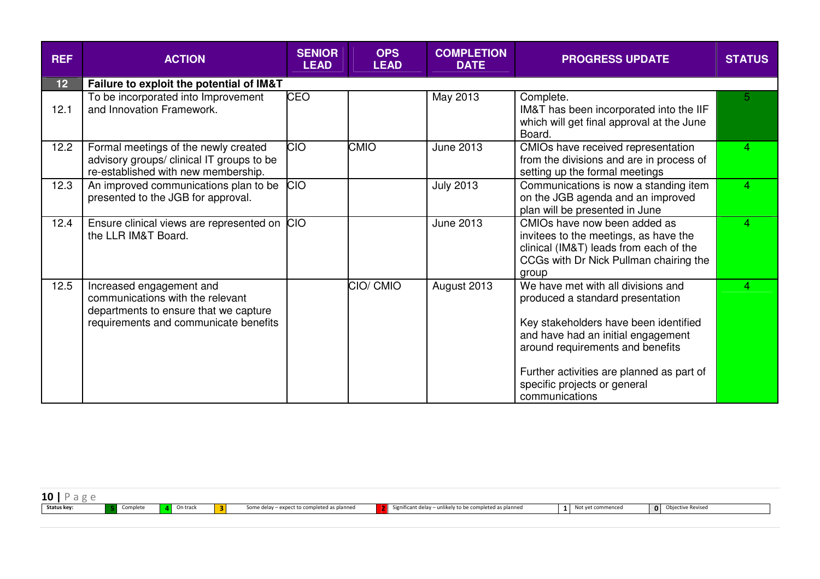| <b>REF</b> | <b>ACTION</b>                                                                                                                                  | <b>SENIOR</b><br><b>LEAD</b> | <b>OPS</b><br><b>LEAD</b> | <b>COMPLETION</b><br><b>DATE</b> | <b>PROGRESS UPDATE</b>                                                                                                                                                                                                                                                                   | <b>STATUS</b>  |
|------------|------------------------------------------------------------------------------------------------------------------------------------------------|------------------------------|---------------------------|----------------------------------|------------------------------------------------------------------------------------------------------------------------------------------------------------------------------------------------------------------------------------------------------------------------------------------|----------------|
| 12         | Failure to exploit the potential of IM&T                                                                                                       |                              |                           |                                  |                                                                                                                                                                                                                                                                                          |                |
| 12.1       | To be incorporated into Improvement<br>and Innovation Framework.                                                                               | <b>CEO</b>                   |                           | May 2013                         | Complete.<br>IM&T has been incorporated into the IIF<br>which will get final approval at the June<br>Board.                                                                                                                                                                              | 5 <sup>1</sup> |
| 12.2       | Formal meetings of the newly created<br>advisory groups/ clinical IT groups to be<br>re-established with new membership.                       | <b>CIO</b>                   | <b>CMIO</b>               | June 2013                        | CMIOs have received representation<br>from the divisions and are in process of<br>setting up the formal meetings                                                                                                                                                                         | 4              |
| 12.3       | An improved communications plan to be<br>presented to the JGB for approval.                                                                    | <b>CIO</b>                   |                           | <b>July 2013</b>                 | Communications is now a standing item<br>on the JGB agenda and an improved<br>plan will be presented in June                                                                                                                                                                             | $\overline{4}$ |
| 12.4       | Ensure clinical views are represented on CIO<br>the LLR IM&T Board.                                                                            |                              |                           | June 2013                        | CMIOs have now been added as<br>invitees to the meetings, as have the<br>clinical (IM&T) leads from each of the<br>CCGs with Dr Nick Pullman chairing the<br>group                                                                                                                       | 4              |
| 12.5       | Increased engagement and<br>communications with the relevant<br>departments to ensure that we capture<br>requirements and communicate benefits |                              | CIO/ CMIO                 | August 2013                      | We have met with all divisions and<br>produced a standard presentation<br>Key stakeholders have been identified<br>and have had an initial engagement<br>around requirements and benefits<br>Further activities are planned as part of<br>specific projects or general<br>communications | 4              |

| 10          |          |          |                                  |                                                      |             |                                |  |
|-------------|----------|----------|----------------------------------|------------------------------------------------------|-------------|--------------------------------|--|
| Status key: | Complete | On track | .npleted as planner<br>Some dela | 'v to be completed as planned<br>- Significant delay | et commence | Ohiod<br>: Revised<br>$\Omega$ |  |
|             |          |          |                                  |                                                      |             |                                |  |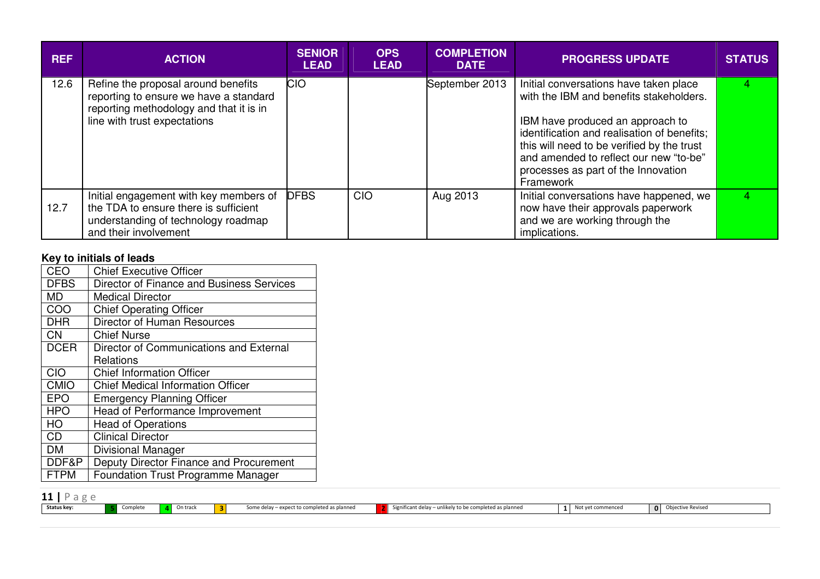| <b>REF</b> | <b>ACTION</b>                                                                                                                                            | <b>SENIOR</b><br><b>LEAD</b> | <b>OPS</b><br><b>LEAD</b> | <b>COMPLETION</b><br><b>DATE</b> | <b>PROGRESS UPDATE</b>                                                                                                                                                                                                                                                                                           | <b>STATUS</b> |
|------------|----------------------------------------------------------------------------------------------------------------------------------------------------------|------------------------------|---------------------------|----------------------------------|------------------------------------------------------------------------------------------------------------------------------------------------------------------------------------------------------------------------------------------------------------------------------------------------------------------|---------------|
| 12.6       | Refine the proposal around benefits<br>reporting to ensure we have a standard<br>reporting methodology and that it is in<br>line with trust expectations | <b>CIO</b>                   |                           | September 2013                   | Initial conversations have taken place<br>with the IBM and benefits stakeholders.<br>IBM have produced an approach to<br>identification and realisation of benefits;<br>this will need to be verified by the trust<br>and amended to reflect our new "to-be"<br>processes as part of the Innovation<br>Framework |               |
| 12.7       | Initial engagement with key members of<br>the TDA to ensure there is sufficient<br>understanding of technology roadmap<br>and their involvement          | <b>DFBS</b>                  | CIO                       | Aug 2013                         | Initial conversations have happened, we<br>now have their approvals paperwork<br>and we are working through the<br>implications.                                                                                                                                                                                 |               |

# **Key to initials of leads**

| CEO         | <b>Chief Executive Officer</b>            |
|-------------|-------------------------------------------|
| <b>DFBS</b> | Director of Finance and Business Services |
| <b>MD</b>   | <b>Medical Director</b>                   |
| COO         | <b>Chief Operating Officer</b>            |
| <b>DHR</b>  | <b>Director of Human Resources</b>        |
| <b>CN</b>   | <b>Chief Nurse</b>                        |
| <b>DCER</b> | Director of Communications and External   |
|             | Relations                                 |
| CIO         | <b>Chief Information Officer</b>          |
| <b>CMIO</b> | <b>Chief Medical Information Officer</b>  |
| <b>EPO</b>  | <b>Emergency Planning Officer</b>         |
| <b>HPO</b>  | Head of Performance Improvement           |
| HO          | <b>Head of Operations</b>                 |
| <b>CD</b>   | <b>Clinical Director</b>                  |
| DM          | Divisional Manager                        |
| DDF&P       | Deputy Director Finance and Procurement   |
| <b>FTPM</b> | <b>Foundation Trust Programme Manager</b> |

| 11 I<br><b>TT</b>  |          |          |                                             |                                                        |       |               |
|--------------------|----------|----------|---------------------------------------------|--------------------------------------------------------|-------|---------------|
| <b>Status key:</b> | Complete | On track | Some delay – expect to completed as planned | unlikely to be completed as planned<br>knificant delay | mence | ctive Reviser |
|                    |          |          |                                             |                                                        |       |               |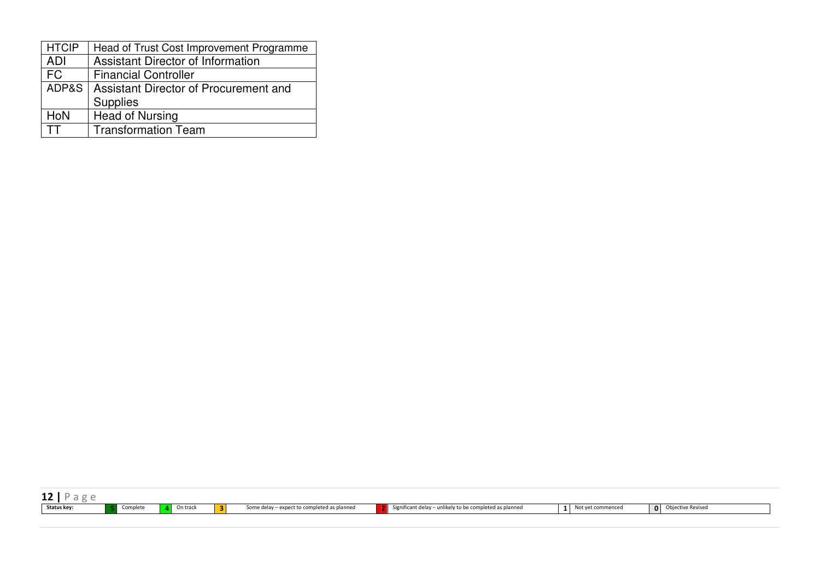| <b>HTCIP</b> | Head of Trust Cost Improvement Programme      |
|--------------|-----------------------------------------------|
| <b>ADI</b>   | <b>Assistant Director of Information</b>      |
| <b>FC</b>    | <b>Financial Controller</b>                   |
|              | ADP&S   Assistant Director of Procurement and |
|              | <b>Supplies</b>                               |
| HoN          | <b>Head of Nursing</b>                        |
|              | <b>Transformation Team</b>                    |

| TV.         |            |          |          |                                             |                                                         |          |                   |                                          |
|-------------|------------|----------|----------|---------------------------------------------|---------------------------------------------------------|----------|-------------------|------------------------------------------|
| Status key: | . Complete | On track | <b>B</b> | Some delay - expect to completed as planned | Significant delay - unlikely to be completed as planned | $\sim$ 1 | Not yet commenced | <b>Objective Revised</b><br>$\mathbf{0}$ |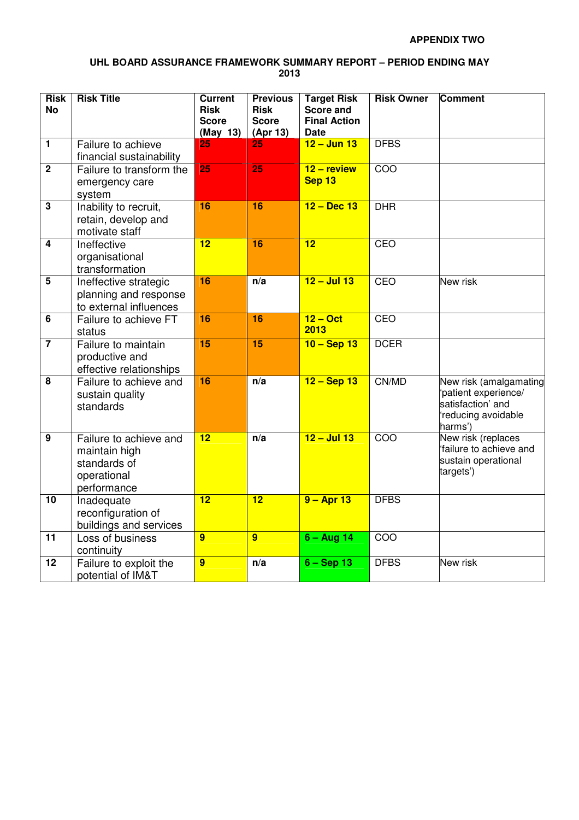#### **UHL BOARD ASSURANCE FRAMEWORK SUMMARY REPORT – PERIOD ENDING MAY 2013**

| <b>Risk</b><br><b>No</b> | <b>Risk Title</b>                                                                     | Current<br><b>Risk</b><br><b>Score</b><br>(May 13) | <b>Previous</b><br><b>Risk</b><br><b>Score</b><br>(Apr 13) | <b>Target Risk</b><br><b>Score and</b><br><b>Final Action</b><br>Date | <b>Risk Owner</b> | Comment                                                                                               |
|--------------------------|---------------------------------------------------------------------------------------|----------------------------------------------------|------------------------------------------------------------|-----------------------------------------------------------------------|-------------------|-------------------------------------------------------------------------------------------------------|
| $\overline{\mathbf{1}}$  | Failure to achieve<br>financial sustainability                                        | $\overline{25}$                                    | 25                                                         | $12 -$ Jun 13                                                         | <b>DFBS</b>       |                                                                                                       |
| $\overline{2}$           | Failure to transform the<br>emergency care<br>system                                  | $\overline{25}$                                    | $\overline{25}$                                            | $12 -$ review<br>Sep 13                                               | COO               |                                                                                                       |
| $\overline{\mathbf{3}}$  | Inability to recruit,<br>retain, develop and<br>motivate staff                        | 16                                                 | 16                                                         | $12 - Dec 13$                                                         | <b>DHR</b>        |                                                                                                       |
| $\overline{4}$           | Ineffective<br>organisational<br>transformation                                       | $\overline{12}$                                    | 16                                                         | $\overline{12}$                                                       | CEO               |                                                                                                       |
| $\overline{5}$           | Ineffective strategic<br>planning and response<br>to external influences              | $\overline{16}$                                    | n/a                                                        | $12 -$ Jul 13                                                         | CEO               | New risk                                                                                              |
| $\overline{6}$           | Failure to achieve FT<br>status                                                       | 16                                                 | 16                                                         | $12 - Oct$<br>2013                                                    | CEO               |                                                                                                       |
| $\overline{\mathbf{7}}$  | Failure to maintain<br>productive and<br>effective relationships                      | $\overline{15}$                                    | $\overline{15}$                                            | $10 -$ Sep 13                                                         | <b>DCER</b>       |                                                                                                       |
| 8                        | Failure to achieve and<br>sustain quality<br>standards                                | 16                                                 | n/a                                                        | $12 -$ Sep 13                                                         | CN/MD             | New risk (amalgamating<br>'patient experience/<br>satisfaction' and<br>'reducing avoidable<br>harms') |
| $\overline{9}$           | Failure to achieve and<br>maintain high<br>standards of<br>operational<br>performance | $\overline{12}$                                    | n/a                                                        | $12 -$ Jul 13                                                         | COO               | New risk (replaces<br>failure to achieve and<br>sustain operational<br>targets')                      |
| 10                       | Inadequate<br>reconfiguration of<br>buildings and services                            | $\overline{12}$                                    | $\overline{12}$                                            | $9 -$ Apr 13                                                          | <b>DFBS</b>       |                                                                                                       |
| $\overline{11}$          | Loss of business<br>continuity                                                        | $\overline{9}$                                     | $\overline{9}$                                             | $6 - Aug 14$                                                          | COO               |                                                                                                       |
| $\overline{12}$          | Failure to exploit the<br>potential of IM&T                                           | $\overline{9}$                                     | n/a                                                        | $6 -$ Sep 13                                                          | <b>DFBS</b>       | New risk                                                                                              |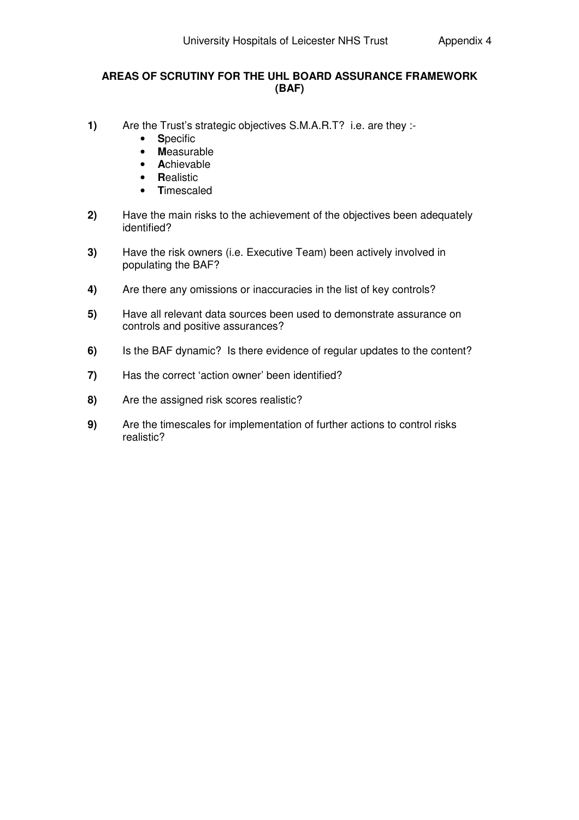#### **AREAS OF SCRUTINY FOR THE UHL BOARD ASSURANCE FRAMEWORK (BAF)**

- **1)** Are the Trust's strategic objectives S.M.A.R.T? i.e. are they :-
	- **S**pecific
	- **M**easurable
	- **A**chievable
	- **R**ealistic
	- **T**imescaled
- **2)** Have the main risks to the achievement of the objectives been adequately identified?
- **3)** Have the risk owners (i.e. Executive Team) been actively involved in populating the BAF?
- **4)** Are there any omissions or inaccuracies in the list of key controls?
- **5)** Have all relevant data sources been used to demonstrate assurance on controls and positive assurances?
- **6)** Is the BAF dynamic? Is there evidence of regular updates to the content?
- **7)** Has the correct 'action owner' been identified?
- **8)** Are the assigned risk scores realistic?
- **9)** Are the timescales for implementation of further actions to control risks realistic?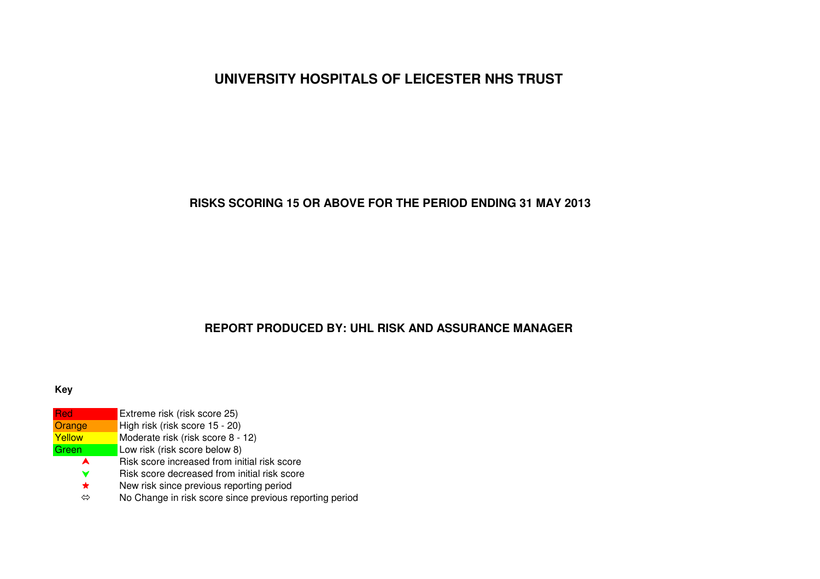# **UNIVERSITY HOSPITALS OF LEICESTER NHS TRUST**

# **RISKS SCORING 15 OR ABOVE FOR THE PERIOD ENDING 31 MAY 2013**

# **REPORT PRODUCED BY: UHL RISK AND ASSURANCE MANAGER**

#### **Key**

| <b>Red</b> | Extreme risk (risk score 25)                            |
|------------|---------------------------------------------------------|
| Orange     | High risk (risk score 15 - 20)                          |
| Yellow     | Moderate risk (risk score 8 - 12)                       |
| Green      | Low risk (risk score below 8)                           |
| A          | Risk score increased from initial risk score            |
| v          | Risk score decreased from initial risk score            |
| *          | New risk since previous reporting period                |
| ⇔          | No Change in risk score since previous reporting period |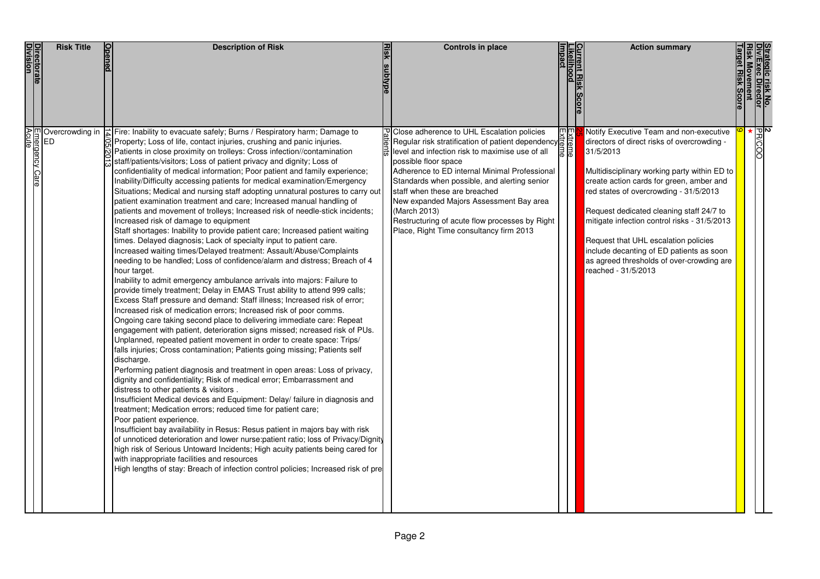| <u>Directorate</u><br>Division | <b>Risk Title</b>                       | <b>Description of Risk</b>                                                                                                                                                                                                                                                                                                                                                                                                                                                                                                                                                                                                                                                                                                                                                                                                                                                                                                                                                                                                                                                                                                                                                                                                                                                                                                                                                                                                                                                                                                                                                                                                                                                                                                                                                                                                                                                                                                                                                                                                                                                                                                                                                                                                                                                                                                                                                                                                                                                                     | <b>Controls in place</b>                                                                                                                                                                                                                                                                                                                                                                                                                                                           |   | <b>Action summary</b>                                                                                                                                                                                                                                                                                                                                                                                                                                                                                                                  |  |
|--------------------------------|-----------------------------------------|------------------------------------------------------------------------------------------------------------------------------------------------------------------------------------------------------------------------------------------------------------------------------------------------------------------------------------------------------------------------------------------------------------------------------------------------------------------------------------------------------------------------------------------------------------------------------------------------------------------------------------------------------------------------------------------------------------------------------------------------------------------------------------------------------------------------------------------------------------------------------------------------------------------------------------------------------------------------------------------------------------------------------------------------------------------------------------------------------------------------------------------------------------------------------------------------------------------------------------------------------------------------------------------------------------------------------------------------------------------------------------------------------------------------------------------------------------------------------------------------------------------------------------------------------------------------------------------------------------------------------------------------------------------------------------------------------------------------------------------------------------------------------------------------------------------------------------------------------------------------------------------------------------------------------------------------------------------------------------------------------------------------------------------------------------------------------------------------------------------------------------------------------------------------------------------------------------------------------------------------------------------------------------------------------------------------------------------------------------------------------------------------------------------------------------------------------------------------------------------------|------------------------------------------------------------------------------------------------------------------------------------------------------------------------------------------------------------------------------------------------------------------------------------------------------------------------------------------------------------------------------------------------------------------------------------------------------------------------------------|---|----------------------------------------------------------------------------------------------------------------------------------------------------------------------------------------------------------------------------------------------------------------------------------------------------------------------------------------------------------------------------------------------------------------------------------------------------------------------------------------------------------------------------------------|--|
| Acute                          | 미 Overcrowding in<br>D<br>mergency Care | Fire: Inability to evacuate safely; Burns / Respiratory harm; Damage to<br>Property; Loss of life, contact injuries, crushing and panic injuries.<br>Patients in close proximity on trolleys: Cross infection//contamination<br>staff/patients/visitors; Loss of patient privacy and dignity; Loss of<br>confidentiality of medical information; Poor patient and family experience;<br>Inability/Difficulty accessing patients for medical examination/Emergency<br>Situations; Medical and nursing staff adopting unnatural postures to carry out<br>patient examination treatment and care; Increased manual handling of<br>patients and movement of trolleys; Increased risk of needle-stick incidents;<br>Increased risk of damage to equipment<br>Staff shortages: Inability to provide patient care; Increased patient waiting<br>times. Delayed diagnosis; Lack of specialty input to patient care.<br>Increased waiting times/Delayed treatment: Assault/Abuse/Complaints<br>needing to be handled; Loss of confidence/alarm and distress; Breach of 4<br>hour target.<br>Inability to admit emergency ambulance arrivals into majors: Failure to<br>provide timely treatment; Delay in EMAS Trust ability to attend 999 calls;<br>Excess Staff pressure and demand: Staff illness; Increased risk of error;<br>Increased risk of medication errors; Increased risk of poor comms.<br>Ongoing care taking second place to delivering immediate care: Repeat<br>engagement with patient, deterioration signs missed; ncreased risk of PUs.<br>Unplanned, repeated patient movement in order to create space: Trips/<br>falls injuries; Cross contamination; Patients going missing; Patients self<br>discharge.<br>Performing patient diagnosis and treatment in open areas: Loss of privacy,<br>dignity and confidentiality; Risk of medical error; Embarrassment and<br>distress to other patients & visitors.<br>Insufficient Medical devices and Equipment: Delay/ failure in diagnosis and<br>treatment; Medication errors; reduced time for patient care;<br>Poor patient experience.<br>Insufficient bay availability in Resus: Resus patient in majors bay with risk<br>of unnoticed deterioration and lower nurse:patient ratio; loss of Privacy/Dignity<br>high risk of Serious Untoward Incidents; High acuity patients being cared for<br>with inappropriate facilities and resources<br>High lengths of stay: Breach of infection control policies; Increased risk of pre | Close adherence to UHL Escalation policies<br>Regular risk stratification of patient dependency $\frac{1}{6}$<br>level and infection risk to maximise use of all<br>possible floor space<br>Adherence to ED internal Minimal Professional<br>Standards when possible, and alerting senior<br>staff when these are breached<br>New expanded Majors Assessment Bay area<br>(March 2013)<br>Restructuring of acute flow processes by Right<br>Place, Right Time consultancy firm 2013 | 回 | $\frac{1}{\sqrt{\frac{PR}{C}}}\times$<br>Notify Executive Team and non-executive<br>directors of direct risks of overcrowding -<br>31/5/2013<br>Multidisciplinary working party within ED to<br>create action cards for green, amber and<br>red states of overcrowding - 31/5/2013<br>Request dedicated cleaning staff 24/7 to<br>mitigate infection control risks - 31/5/2013<br>Request that UHL escalation policies<br>include decanting of ED patients as soon<br>as agreed thresholds of over-crowding are<br>reached - 31/5/2013 |  |